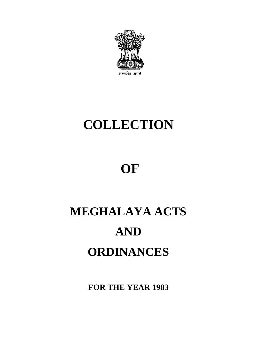

# **COLLECTION**

# **OF**

# **MEGHALAYA ACTS AND ORDINANCES**

**FOR THE YEAR 1983**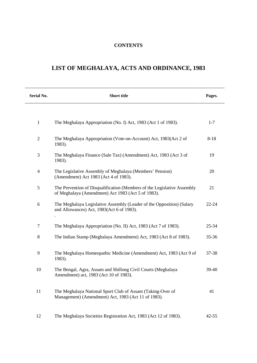# **CONTENTS**

# **LIST OF MEGHALAYA, ACTS AND ORDINANCE, 1983**

| Serial No.               | <b>Short title</b>                                                                                                            | Pages.    |
|--------------------------|-------------------------------------------------------------------------------------------------------------------------------|-----------|
|                          |                                                                                                                               |           |
| 1                        | The Meghalaya Appropriation (No. I) Act, 1983 (Act 1 of 1983).                                                                | $1 - 7$   |
| $\overline{2}$           | The Meghalaya Appropriation (Vote-on-Account) Act, 1983(Act 2 of<br>1983).                                                    | $8 - 18$  |
| 3                        | The Meghalaya Finance (Sale Tax) (Amendment) Act, 1983 (Act 3 of<br>1983).                                                    | 19        |
| $\overline{\mathcal{L}}$ | The Legislative Assembly of Meghalaya (Members' Pension)<br>(Amendment) Act 1983 (Act 4 of 1983).                             | 20        |
| 5                        | The Prevention of Disqualification (Members of the Legislative Assembly<br>of Meghalaya (Amendment) Act 1983 (Act 5 of 1983). | 21        |
| 6                        | The Meghalaya Legislative Assembly (Leader of the Opposition) (Salary<br>and Allowances) Act, 1983(Act 6 of 1983).            | 22-24     |
| 7                        | The Meghalaya Appropriation (No. II) Act, 1983 (Act 7 of 1983).                                                               | 25-34     |
| 8                        | The Indian Stamp (Meghalaya Amendment) Act, 1983 (Act 8 of 1983).                                                             | $35 - 36$ |
| 9                        | The Meghalaya Homeopathic Medicine (Amendment) Act, 1983 (Act 9 of<br>1983).                                                  | 37-38     |
| 10                       | The Bengal, Agra, Assam and Shillong Civil Courts (Meghalaya<br>Amendment) act, 1983 (Act 10 of 1983).                        | 39-40     |
| 11                       | The Meghalaya National Sport Club of Assam (Taking-Over of<br>Management) (Amendment) Act, 1983 (Act 11 of 1983).             | 41        |
| 12                       | The Meghalaya Societies Registration Act, 1983 (Act 12 of 1983).                                                              | $42 - 55$ |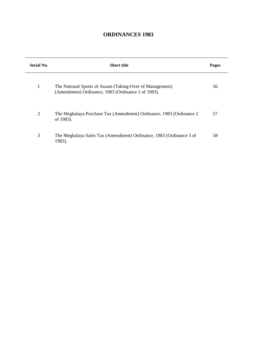# **ORDINANCES 1983**

| Serial No. | <b>Short title</b>                                                                                             | Pages |
|------------|----------------------------------------------------------------------------------------------------------------|-------|
| 1          | The National Sports of Assam (Taking-Over of Management)<br>(Amendment) Ordinance, 1983 (Ordinance 1 of 1983). | 56    |
| 2          | The Meghalaya Purchase Tax (Amendment) Ordinance, 1983 (Ordinance 2<br>of 1983).                               | 57    |
| 3          | The Meghalaya Sales Tax (Amendment) Ordinance, 1983 (Ordinance 3 of<br>1983).                                  | 58    |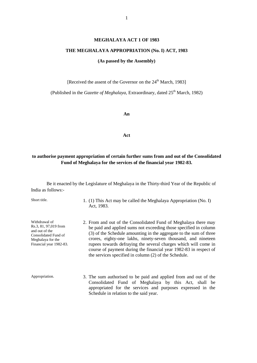#### **MEGHALAYA ACT 1 OF 1983**

#### **THE MEGHALAYA APPROPRIATION (No. I) ACT, 1983**

#### **(As passed by the Assembly)**

[Received the assent of the Governor on the 24<sup>th</sup> March, 1983]

(Published in the *Gazette of Meghalaya*, Extraordinary, dated 25<sup>th</sup> March, 1982)

**An**

**Act**

## **to authorise payment appropriation of certain further sums from and out of the Consolidated Fund of Meghalaya for the services of the financial year 1982-83.**

Be it enacted by the Legislature of Meghalaya in the Thirty-third Year of the Republic of India as follows:-

Withdrawal of Rs.3, 81, 97,019 from and out of the Consolidated Fund of Meghalaya for the Financial year 1982-83.

- Short title. 1. (1) This Act may be called the Meghalaya Appropriation (No. I) Act, 1983.
	- 2. From and out of the Consolidated Fund of Meghalaya there may be paid and applied sums not exceeding those specified in column (3) of the Schedule amounting in the aggregate to the sum of three crores, eighty-one lakhs, ninety-seven thousand, and nineteen rupees towards defraying the several charges which will come in course of payment during the financial year 1982-83 in respect of the services specified in column (2) of the Schedule.
- Appropriation. 3. The sum authorised to be paid and applied from and out of the Consolidated Fund of Meghalaya by this Act, shall be appropriated for the services and purposes expressed in the Schedule in relation to the said year.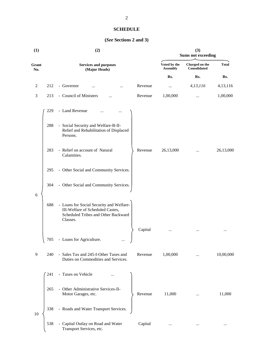## **SCHEDULE**

# **(***See* **Sections 2 and 3)**

| (1)            |     | (2)                                                                                                                             |         |                                 | (3)<br><b>Sums not exceeding</b> |              |  |
|----------------|-----|---------------------------------------------------------------------------------------------------------------------------------|---------|---------------------------------|----------------------------------|--------------|--|
| Grant<br>No.   |     | <b>Services and purposes</b><br>(Major Heads)                                                                                   |         | Voted by the<br><b>Assembly</b> | Charged on the<br>Consolidated   | <b>Total</b> |  |
|                |     |                                                                                                                                 |         | Rs.                             | Rs.                              | Rs.          |  |
| $\overline{c}$ | 212 | - Governor                                                                                                                      | Revenue | $\cdots$                        | 4,13,116                         | 4,13,116     |  |
| $\mathfrak{Z}$ | 213 | - Council of Ministers<br>.                                                                                                     | Revenue | 1,00,000                        |                                  | 1,00,000     |  |
|                | 229 | - Land Revenue                                                                                                                  |         |                                 |                                  |              |  |
|                | 288 | - Social Security and Welfare-B-II-<br>Relief and Rehabilitation of Displaced<br>Persons.                                       |         |                                 |                                  |              |  |
|                | 283 | - Relief on account of Natural<br>Calamities.                                                                                   | Revenue | 26,13,000                       | $\cdots$                         | 26,13,000    |  |
|                | 295 | - Other Social and Community Services.                                                                                          |         |                                 |                                  |              |  |
|                | 304 | - Other Social and Community Services.                                                                                          |         |                                 |                                  |              |  |
| 6              | 688 | - Loans for Social Security and Welfare-<br>III-Welfare of Scheduled Castes,<br>Scheduled Tribes and Other Backward<br>Classes. |         |                                 |                                  |              |  |
|                |     |                                                                                                                                 | Capital |                                 |                                  | $\cdots$     |  |
|                | 705 | - Loans for Agriculture.<br>$\cdots$                                                                                            |         |                                 |                                  |              |  |
| 9              | 240 | - Sales Tax and 245-I-Other Taxes and<br>Duties on Commodities and Services.                                                    | Revenue | 1,00,000                        |                                  | 10,00,000    |  |
|                | 241 | - Taxes on Vehicle                                                                                                              |         |                                 |                                  |              |  |
|                | 265 | - Other Administrative Services-II-<br>Motor Garages, etc.                                                                      | Revenue | 11,000                          | $\cdots$                         | 11,000       |  |
| 10             | 338 | - Roads and Water Transport Services.                                                                                           |         |                                 |                                  |              |  |
|                | 538 | Capital Outlay on Road and Water<br>Transport Services, etc.                                                                    | Capital | $\cdots$                        | $\ldots$                         | $\ldots$     |  |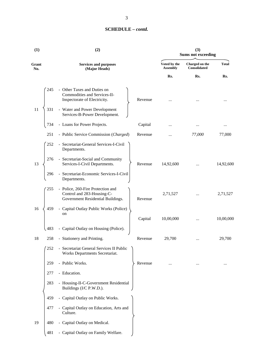| (1)          | (2) |                                                                                                      | (3)<br><b>Sums not exceeding</b> |                                 |                                |              |
|--------------|-----|------------------------------------------------------------------------------------------------------|----------------------------------|---------------------------------|--------------------------------|--------------|
| Grant<br>No. |     | <b>Services and purposes</b><br>(Major Heads)                                                        |                                  | Voted by the<br><b>Assembly</b> | Charged on the<br>Consolidated | <b>Total</b> |
|              |     |                                                                                                      |                                  | Rs.                             | Rs.                            | Rs.          |
|              | 245 | - Other Taxes and Duties on<br>Commodities and Services-II-<br>Inspectorate of Electricity.          | Revenue                          |                                 |                                |              |
| 11           | 331 | - Water and Power Development<br>Services-B-Power Development.                                       |                                  |                                 |                                |              |
|              | 734 | - Loans for Power Projects.                                                                          | Capital                          |                                 |                                | $\cdots$     |
|              | 251 | - Public Service Commission (Charged)                                                                | Revenue                          |                                 | 77,000                         | 77,000       |
|              | 252 | - Secretariat-General Services-I-Civil<br>Departments.                                               |                                  |                                 |                                |              |
| 13           | 276 | - Secretariat-Social and Community<br>Services-I-Civil Departments.                                  | Revenue                          | 14,92,600                       |                                | 14,92,600    |
|              | 296 | - Secretariat-Economic Services-I-Civil<br>Departments.                                              |                                  |                                 |                                |              |
|              | 255 | - Police, 260-Fire Protection and<br>Control and 283-Housing-C-<br>Government Residential Buildings. | Revenue                          | 2,71,527                        |                                | 2,71,527     |
| 16           | 459 | - Capital Outlay Public Works (Police)<br>on                                                         | Capital                          | 10,00,000                       |                                | 10,00,000    |
|              | 483 | - Capital Outlay on Housing (Police).                                                                |                                  |                                 |                                |              |
| 18           | 258 | - Stationery and Printing                                                                            | Revenue                          | 29,700                          |                                | 29,700       |
|              | 252 | - Secretariat General Services II Public<br>Works Departments Secretariat.                           |                                  |                                 |                                |              |
|              | 259 | - Public Works.                                                                                      | Revenue                          |                                 |                                |              |
|              | 277 | - Education.                                                                                         |                                  |                                 |                                |              |
|              | 283 | - Housing-II-C-Government Residential<br>Buildings (I/C P.W.D.).                                     |                                  |                                 |                                |              |
|              | 459 | - Capital Outlay on Public Works.                                                                    |                                  |                                 |                                |              |
|              | 477 | - Capital Outlay on Education, Arts and<br>Culture.                                                  |                                  |                                 |                                |              |
| 19           | 480 | - Capital Outlay on Medical.                                                                         |                                  |                                 |                                |              |
|              | 481 | - Capital Outlay on Family Welfare.                                                                  |                                  |                                 |                                |              |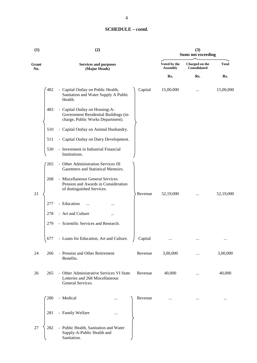| (1)          | (3)<br>(2)<br><b>Sums not exceeding</b> |                                                                                                                  |                                 |                                |              |
|--------------|-----------------------------------------|------------------------------------------------------------------------------------------------------------------|---------------------------------|--------------------------------|--------------|
| Grant<br>No. |                                         | <b>Services and purposes</b><br>(Major Heads)                                                                    | Voted by the<br><b>Assembly</b> | Charged on the<br>Consolidated | <b>Total</b> |
|              |                                         |                                                                                                                  | Rs.                             | Rs.                            | Rs.          |
|              | 482                                     | - Capital Outlay on Public Health,<br>Capital<br>Sanitation and Water Supply A Public<br>Health.                 | 15,00,000                       | $\cdots$                       | 15,00,000    |
|              | 483                                     | - Capital Outlay on Housing-A-<br>Government Residential Buildings (in-<br>charge, Public Works Department).     |                                 |                                |              |
|              | 510                                     | - Capital Outlay on Animal Husbandry.                                                                            |                                 |                                |              |
|              | 511                                     | - Capital Outlay on Dairy Development.                                                                           |                                 |                                |              |
|              | 530                                     | - Investment in Industrial Financial<br>Institutions.                                                            |                                 |                                |              |
|              | 265                                     | Other Administration Services III<br>$\equiv$<br>Gazetteers and Statistical Memoirs.                             |                                 |                                |              |
| 21           | 268                                     | - Miscellaneous General Services<br>Pension and Awards in Consideration<br>of distinguished Services.<br>Revenue | 52,19,000                       | $\cdots$                       | 52,19,000    |
|              | 277                                     | - Education                                                                                                      |                                 |                                |              |
|              | 278                                     | - Art and Culture<br>$\cdots$                                                                                    |                                 |                                |              |
|              | 279                                     | - Scientific Services and Research.                                                                              |                                 |                                |              |
|              | 677                                     | - Loans for Education, Art and Culture.<br>Capital                                                               | $\cdots$                        |                                |              |
| 24           | 266                                     | - Pension and Other Retirement<br>Revenue<br>Benefits.                                                           | 3,00,000                        | .                              | 3,00,000     |
| 26           | 265                                     | - Other Administrative Services VI State<br>Revenue<br>Lotteries and 268 Miscellaneous<br>General Services.      | 40,000                          | $\cdots$                       | 40,000       |
|              | 280                                     | - Medical<br>Revenue<br>                                                                                         | $\cdots$                        |                                |              |
|              | 281                                     | - Family Welfare<br>$\cdots$                                                                                     |                                 |                                |              |
| 27           | 282                                     | - Public Health, Sanitation and Water<br>Supply-A-Public Health and<br>Sanitation.                               |                                 |                                |              |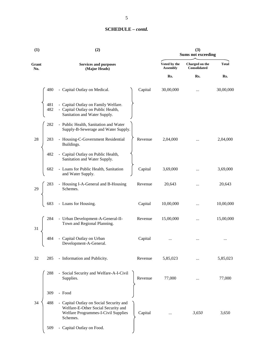| (1)          |            | (2)                                                                                                                               | (3)<br><b>Sums not exceeding</b> |                                 |                                       |              |  |
|--------------|------------|-----------------------------------------------------------------------------------------------------------------------------------|----------------------------------|---------------------------------|---------------------------------------|--------------|--|
| Grant<br>No. |            | <b>Services and purposes</b><br>(Major Heads)                                                                                     |                                  | Voted by the<br><b>Assembly</b> | Charged on the<br><b>Consolidated</b> | <b>Total</b> |  |
|              |            |                                                                                                                                   |                                  | Rs.                             | Rs.                                   | Rs.          |  |
|              | 480        | - Capital Outlay on Medical.                                                                                                      | Capital                          | 30,00,000                       | $\cdots$                              | 30,00,000    |  |
|              | 481<br>482 | - Capital Outlay on Family Welfare.<br>- Capital Outlay on Public Health,<br>Sanitation and Water Supply.                         |                                  |                                 |                                       |              |  |
|              | 282        | - Public Health, Sanitation and Water<br>Supply-B-Sewerage and Water Supply.                                                      |                                  |                                 |                                       |              |  |
| 28           | 283        | - Housing-C-Government Residential<br>Buildings.                                                                                  | Revenue                          | 2,04,000                        | $\cdots$                              | 2,04,000     |  |
|              | 482        | - Capital Outlay on Public Health,<br>Sanitation and Water Supply.                                                                |                                  |                                 |                                       |              |  |
|              | 682        | - Loans for Public Health, Sanitation<br>and Water Supply.                                                                        | Capital                          | 3,69,000                        |                                       | 3,69,000     |  |
| 29           | 283        | - Housing I-A-General and B-Housing<br>Schemes.                                                                                   | Revenue                          | 20,643                          |                                       | 20,643       |  |
|              | 683        | - Loans for Housing.                                                                                                              | Capital                          | 10,00,000                       |                                       | 10,00,000    |  |
| 31           | 284        | - Urban Development-A-General-II-<br>Town and Regional Planning.                                                                  | Revenue                          | 15,00,000                       |                                       | 15,00,000    |  |
|              | 484        | - Capital Outlay on Urban<br>Development-A-General.                                                                               | Capital                          |                                 |                                       |              |  |
| 32           | 285        | - Information and Publicity.                                                                                                      | Revenue                          | 5,85,023                        |                                       | 5,85,023     |  |
|              | 288        | - Social Security and Welfare-A-I-Civil<br>Supplies.                                                                              | Revenue                          | 77,000                          |                                       | 77,000       |  |
|              | 309        | - Food                                                                                                                            |                                  |                                 |                                       |              |  |
| 34           | 488        | - Capital Outlay on Social Security and<br>Welfare-E-Other Social Security and<br>Welfare Programmes-I-Civil Supplies<br>Schemes. | Capital                          |                                 | 3,650                                 | 3,650        |  |
|              | 509        | Capital Outlay on Food.                                                                                                           |                                  |                                 |                                       |              |  |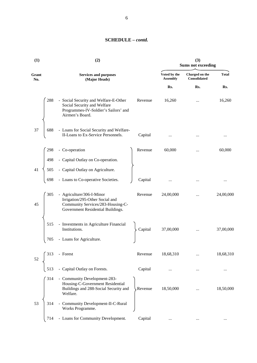| (1)          | (2)<br>(3)                                                                                                                             |         | <b>Sums not exceeding</b>       |                                       |              |
|--------------|----------------------------------------------------------------------------------------------------------------------------------------|---------|---------------------------------|---------------------------------------|--------------|
| Grant<br>No. | <b>Services and purposes</b><br>(Major Heads)                                                                                          |         | Voted by the<br><b>Assembly</b> | Charged on the<br><b>Consolidated</b> | <b>Total</b> |
|              |                                                                                                                                        |         | Rs.                             | Rs.                                   | Rs.          |
| 288          | - Social Security and Welfare-E-Other<br>Social Security and Welfare<br>Programmes-IV-Soldier's Sailors' and<br>Airmen's Board.        | Revenue | 16,260                          |                                       | 16,260       |
| 37<br>688    | - Loans for Social Security and Welfare-<br>II-Loans to Ex-Service Personnels.                                                         | Capital |                                 |                                       | $\cdots$     |
| 298          | - Co-operation                                                                                                                         | Revenue | 60,000                          |                                       | 60,000       |
| 498          | - Capital Outlay on Co-operation.                                                                                                      |         |                                 |                                       |              |
| 41<br>505    | - Capital Outlay on Agriculture.                                                                                                       |         |                                 |                                       |              |
| 698          | - Loans to Co-operative Societies.                                                                                                     | Capital |                                 |                                       | $\cdots$     |
| 305<br>45    | - Agriculture/306-I-Minor<br>Irrigation/295-Other Social and<br>Community Services/283-Housing-C-<br>Government Residential Buildings. | Revenue | 24,00,000                       |                                       | 24,00,000    |
| 515          | - Investments in Agriculture Financial<br>Institutions.                                                                                | Capital | 37,00,000                       |                                       | 37,00,000    |
| 705          | - Loans for Agriculture.                                                                                                               |         |                                 |                                       |              |
| 313<br>52    | - Forest                                                                                                                               | Revenue | 18,68,310                       |                                       | 18,68,310    |
| 513          | - Capital Outlay on Forests.                                                                                                           | Capital |                                 |                                       |              |
| 314          | - Community Development-283-<br>Housing-C-Government Residential<br>Buildings and 288-Social Security and<br>Welfare.                  | Revenue | 18,50,000                       |                                       | 18,50,000    |
| 53<br>314    | - Community Development-II-C-Rural<br>Works Programme.                                                                                 |         |                                 |                                       |              |
| 714          | - Loans for Community Development.                                                                                                     | Capital | $\cdots$                        |                                       |              |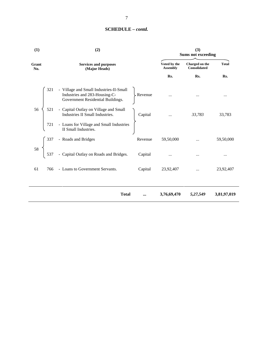| (1)          | (2)                                                                                                           |          | (3)<br><b>Sums not exceeding</b> |                                       |              |
|--------------|---------------------------------------------------------------------------------------------------------------|----------|----------------------------------|---------------------------------------|--------------|
| Grant<br>No. | <b>Services and purposes</b><br>(Major Heads)                                                                 |          | Voted by the<br><b>Assembly</b>  | Charged on the<br><b>Consolidated</b> | <b>Total</b> |
|              |                                                                                                               |          | Rs.                              | Rs.                                   | Rs.          |
| 321          | - Village and Small Industries-II-Small<br>Industries and 283-Housing-C-<br>Government Residential Buildings. | Revenue  |                                  |                                       |              |
| 56<br>521    | - Capital Outlay on Village and Small<br>Industries II Small Industries.                                      | Capital  | $\cdots$                         | 33,783                                | 33,783       |
| 721          | - Loans for Village and Small Industries<br>II Small Industries.                                              |          |                                  |                                       |              |
| 337          | - Roads and Bridges                                                                                           | Revenue  | 59,50,000                        |                                       | 59,50,000    |
| 58<br>537    | - Capital Outlay on Roads and Bridges.                                                                        | Capital  |                                  |                                       |              |
| 61<br>766    | - Loans to Government Servants.                                                                               | Capital  | 23,92,407                        |                                       | 23,92,407    |
|              | <b>Total</b>                                                                                                  | $\cdots$ | 3,76,69,470                      | 5,27,549                              | 3,81,97,019  |

 $\overline{ }$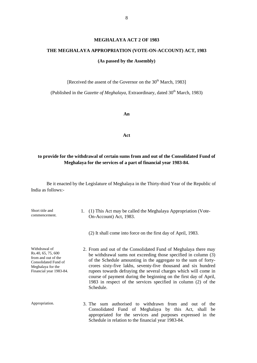## **MEGHALAYA ACT 2 OF 1983**

## **THE MEGHALAYA APPROPRIATION (VOTE-ON-ACCOUNT) ACT, 1983**

## **(As passed by the Assembly)**

[Received the assent of the Governor on the  $30<sup>th</sup>$  March, 1983]

(Published in the *Gazette of Meghalaya*, Extraordinary, dated 30<sup>th</sup> March, 1983)

**An**

**Act**

# **to provide for the withdrawal of certain sums from and out of the Consolidated Fund of Meghalaya for the services of a part of financial year 1983-84.**

| Short title and<br>commencement.                                                                                                   | 1. (1) This Act may be called the Meghalaya Appropriation (Vote-<br>On-Account) Act, 1983.                                                                                                                                                                                                                                                                                                                                                                                                    |
|------------------------------------------------------------------------------------------------------------------------------------|-----------------------------------------------------------------------------------------------------------------------------------------------------------------------------------------------------------------------------------------------------------------------------------------------------------------------------------------------------------------------------------------------------------------------------------------------------------------------------------------------|
|                                                                                                                                    | (2) It shall come into force on the first day of April, 1983.                                                                                                                                                                                                                                                                                                                                                                                                                                 |
| Withdrawal of<br>Rs.40, 65, 75, 600<br>from and out of the<br>Consolidated Fund of<br>Meghalaya for the<br>Financial year 1983-84. | 2. From and out of the Consolidated Fund of Meghalaya there may<br>be withdrawal sums not exceeding those specified in column (3)<br>of the Schedule amounting in the aggregate to the sum of forty-<br>crores sixty-five lakhs, seventy-five thousand and six hundred<br>rupees towards defraying the several charges which will come in<br>course of payment during the beginning on the first day of April,<br>1983 in respect of the services specified in column (2) of the<br>Schedule. |
| Appropriation.                                                                                                                     | 3. The sum authorised to withdrawn from and out of the<br>Consolidated Fund of Meghalaya by this Act, shall be<br>appropriated for the services and purposes expressed in the<br>Schedule in relation to the financial year 1983-84.                                                                                                                                                                                                                                                          |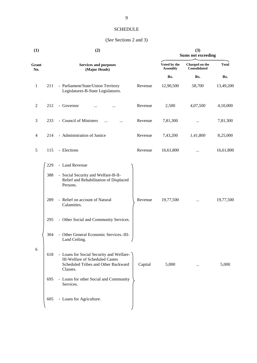# SCHEDULE

# (*See* Sections 2 and 3)

| (1)            |     | (2)                                                                                                                            |         |                                 | (3)<br><b>Sums not exceeding</b> |              |  |
|----------------|-----|--------------------------------------------------------------------------------------------------------------------------------|---------|---------------------------------|----------------------------------|--------------|--|
| Grant<br>No.   |     | <b>Services and purposes</b><br>(Major Heads)                                                                                  |         | Voted by the<br><b>Assembly</b> | Charged on the<br>Consolidated   | <b>Total</b> |  |
|                |     |                                                                                                                                |         | Rs.                             | Rs.                              | Rs.          |  |
| $\mathbf{1}$   | 211 | - Parliament/State/Union Territory<br>Legislatures-B-State Legislatures.                                                       | Revenue | 12,90,500                       | 58,700                           | 13,49,200    |  |
| $\overline{2}$ | 212 | - Governor<br>                                                                                                                 | Revenue | 2,500                           | 4,07,500                         | 4,10,000     |  |
| 3              | 233 | - Council of Ministers                                                                                                         | Revenue | 7,81,300                        | $\cdots$                         | 7,81,300     |  |
| 4              | 214 | - Administration of Justice                                                                                                    | Revenue | 7,43,200                        | 1,41,800                         | 8,25,000     |  |
| 5              | 115 | - Elections                                                                                                                    | Revenue | 16,61,800                       | $\cdots$                         | 16,61,800    |  |
|                | 229 | - Land Revenue                                                                                                                 |         |                                 |                                  |              |  |
|                | 388 | - Social Security and Welfare-B-II-<br>Relief and Rehabilitation of Displaced<br>Persons.                                      |         |                                 |                                  |              |  |
|                | 289 | - Relief on account of Natural<br>Calamities.                                                                                  | Revenue | 19,77,500                       | $\cdots$                         | 19,77,500    |  |
|                | 295 | - Other Social and Community Services.                                                                                         |         |                                 |                                  |              |  |
|                | 304 | - Other General Economic Services.-III-<br>Land Ceiling.                                                                       |         |                                 |                                  |              |  |
| 6              | 618 | - Loans for Social Security and Welfare-<br>III-Welfare of Scheduled Castes<br>Scheduled Tribes and Other Backward<br>Classes. | Capital | 5,000                           | $\ldots$                         | 5,000        |  |
|                | 695 | - Loans for other Social and Community<br>Services.                                                                            |         |                                 |                                  |              |  |
|                | 605 | - Loans for Agriculture.                                                                                                       |         |                                 |                                  |              |  |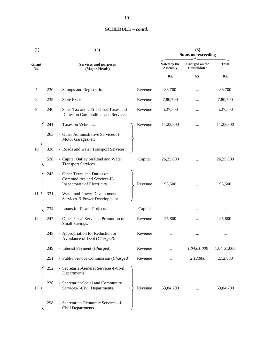| (1)          |                                               | (2)                                                                                       |         |                                 | (3)<br><b>Sums not exceeding</b> |              |  |  |
|--------------|-----------------------------------------------|-------------------------------------------------------------------------------------------|---------|---------------------------------|----------------------------------|--------------|--|--|
| Grant<br>No. | <b>Services and purposes</b><br>(Major Heads) |                                                                                           |         | Voted by the<br><b>Assembly</b> | Charged on the<br>Consolidated   | <b>Total</b> |  |  |
|              |                                               |                                                                                           |         | Rs.                             | Rs.                              | Rs.          |  |  |
| 7            | 230                                           | - Stamps and Registration                                                                 | Revenue | 86,700                          |                                  | 86,700       |  |  |
| 8            | 239                                           | - State Excise                                                                            | Revenue | 7,80,700                        |                                  | 7,80,700     |  |  |
| 9            | 240                                           | - Sales Tax and 245-I-Other Taxes and<br>Duties on Commodities and Services.              | Revenue | 5,27,500                        |                                  | 5,27,500     |  |  |
|              | 241                                           | - Taxes on Vehicles.                                                                      | Revenue | 11,23,300                       |                                  | 11,23,300    |  |  |
|              | 265                                           | - Other Administrative Services-II-<br>Motor Garages, etc.                                |         |                                 |                                  |              |  |  |
| 10           | 338                                           | - Roads and water Transport Services.                                                     |         |                                 |                                  |              |  |  |
|              | 538                                           | - Capital Outlay on Road and Water<br><b>Transport Services.</b>                          | Capital | 26,25,000                       |                                  | 26,25,000    |  |  |
|              | 245                                           | Other Taxes and Duties on<br>Commodities and Services-II-<br>Inspectorate of Electricity. | Revenue | 95,500                          |                                  | 95,500       |  |  |
| 11           | 331                                           | - Water and Power Development<br>Services-B-Power Development.                            |         |                                 |                                  |              |  |  |
|              | 734                                           | - Loans for Power Projects.                                                               | Capital | $\cdots$                        |                                  | $\cdots$     |  |  |
| 12           | 247                                           | - Other Fiscal Services- Promotion of<br>Small Savings.                                   | Revenue | 25,800                          |                                  | 25,800       |  |  |
|              | 248                                           | Appropriation for Reduction or<br>$\blacksquare$<br>Avoidance of Debt (Charged).          | Revenue | $\cdots$                        |                                  |              |  |  |
|              | 249                                           | - Interest Payment (Charged).                                                             | Revenue |                                 | 1,04,61,000                      | 1,04,61,000  |  |  |
|              | 251                                           | - Public Service Commission (Charged).                                                    | Revenue |                                 | 2,12,800                         | 2,12,800     |  |  |
|              | 252                                           | - Secretariat-General Services-I-Civil<br>Departments.                                    |         |                                 |                                  |              |  |  |
| 13           | 276                                           | - Secretariat-Social and Community<br>Services-I-Civil Departments.                       | Revenue | 53,84,700                       |                                  | 53,84,700    |  |  |
|              | 298                                           | - Secretariat-Economic Services-I-<br>Civil Departments.                                  |         |                                 |                                  |              |  |  |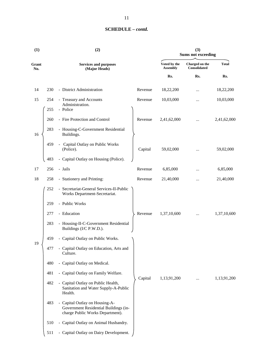| (1)          |            | (2)                                                                                                         |         |                                 | (3)<br><b>Sums not exceeding</b>      |              |
|--------------|------------|-------------------------------------------------------------------------------------------------------------|---------|---------------------------------|---------------------------------------|--------------|
| Grant<br>No. |            | <b>Services and purposes</b><br>(Major Heads)                                                               |         | Voted by the<br><b>Assembly</b> | Charged on the<br><b>Consolidated</b> | <b>Total</b> |
|              |            |                                                                                                             |         | Rs.                             | Rs.                                   | Rs.          |
| 14           | 230        | - District Administration                                                                                   | Revenue | 18,22,200                       |                                       | 18,22,200    |
| 15           | 254<br>255 | - Treasury and Accounts<br>Administration.<br>- Police                                                      | Revenue | 10,03,000                       |                                       | 10,03,000    |
|              | 260        | - Fire Protection and Control                                                                               | Revenue | 2,41,62,000                     | $\cdots$                              | 2,41,62,000  |
| 16           | 283        | - Housing-C-Government Residential<br>Buildings.                                                            |         |                                 |                                       |              |
|              | 459        | Capital Outlay on Public Works<br>$\blacksquare$<br>(Police).                                               | Capital | 59,02,000                       |                                       | 59,02,000    |
|              | 483        | - Capital Outlay on Housing (Police).                                                                       |         |                                 |                                       |              |
| 17           | 256        | - Jails                                                                                                     | Revenue | 6,85,000                        | $\ddotsc$                             | 6,85,000     |
| 18           | 258        | - Stationery and Printing:                                                                                  | Revenue | 21,40,000                       | $\cdots$                              | 21,40,000    |
|              | 252        | - Secretariat-General Services-II-Public<br>Works Department-Secretariat.                                   |         |                                 |                                       |              |
|              | 259        | - Public Works                                                                                              |         |                                 |                                       |              |
|              | 277        | - Education                                                                                                 | Revenue | 1,37,10,600                     | $\cdots$                              | 1,37,10,600  |
|              | 283        | - Housing-II-C-Government Residential<br>Buildings (I/C P.W.D.).                                            |         |                                 |                                       |              |
|              | 459        | - Capital Outlay on Public Works.                                                                           |         |                                 |                                       |              |
| 19           | 477        | - Capital Outlay on Education, Arts and<br>Culture.                                                         |         |                                 |                                       |              |
|              | 480        | - Capital Outlay on Medical.                                                                                |         |                                 |                                       |              |
|              | 481        | - Capital Outlay on Family Welfare.                                                                         |         |                                 |                                       |              |
|              | 482        | - Capital Outlay on Public Health,<br>Sanitation and Water Supply-A-Public<br>Health.                       | Capital | 1,13,91,200                     |                                       | 1,13,91,200  |
|              | 483        | - Capital Outlay on Housing-A-<br>Government Residential Buildings (in-<br>charge Public Works Department). |         |                                 |                                       |              |
|              | 510        | - Capital Outlay on Animal Husbandry.                                                                       |         |                                 |                                       |              |
|              | 511        | - Capital Outlay on Dairy Development.                                                                      |         |                                 |                                       |              |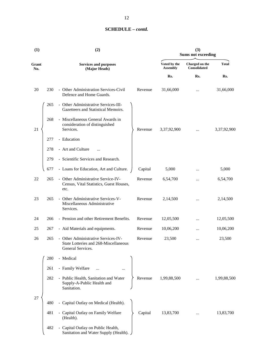| (1)          |     | (2)                                                                                                          |                                 | (3)<br><b>Sums not exceeding</b> |              |  |  |
|--------------|-----|--------------------------------------------------------------------------------------------------------------|---------------------------------|----------------------------------|--------------|--|--|
| Grant<br>No. |     | <b>Services and purposes</b><br>(Major Heads)                                                                | Voted by the<br><b>Assembly</b> | Charged on the<br>Consolidated   | <b>Total</b> |  |  |
|              |     |                                                                                                              | Rs.                             | Rs.                              | Rs.          |  |  |
| 20           | 230 | - Other Administration Services-Civil<br>Revenue<br>Defence and Home Guards.                                 | 31,66,000                       | $\cdots$                         | 31,66,000    |  |  |
|              | 265 | - Other Administrative Services-III-<br>Gazetteers and Statistical Memoirs.                                  |                                 |                                  |              |  |  |
| 21           | 268 | - Miscellaneous General Awards in<br>consideration of distinguished<br>Services.<br>Revenue                  | 3,37,92,900                     | $\cdots$                         | 3,37,92,900  |  |  |
|              | 277 | - Education                                                                                                  |                                 |                                  |              |  |  |
|              | 278 | - Art and Culture<br>$\cdots$                                                                                |                                 |                                  |              |  |  |
|              | 279 | - Scientific Services and Research.                                                                          |                                 |                                  |              |  |  |
|              | 677 | - Loans for Education, Art and Culture.<br>Capital                                                           | 5,000                           |                                  | 5,000        |  |  |
| 22           | 265 | - Other Administrative Service-IV-<br>Revenue<br>Census, Vital Statistics, Guest Houses,<br>etc.             | 6,54,700                        |                                  | 6,54,700     |  |  |
| 23           | 265 | - Other Administrative Services-V-<br>Revenue<br>Miscellaneous Administrative<br>Services.                   | 2,14,500                        | $\cdots$                         | 2,14,500     |  |  |
| 24           | 266 | - Pension and other Retirement Benefits.<br>Revenue                                                          | 12,05,500                       |                                  | 12,05,500    |  |  |
| 25           | 267 | - Aid Materials and equipments.<br>Revenue                                                                   | 10,06,200                       |                                  | 10,06,200    |  |  |
| 26           | 265 | - Other Administrative Services-IV-<br>Revenue<br>State Lotteries and 268-Miscellaneous<br>General Services. | 23,500                          |                                  | 23,500       |  |  |
|              | 280 | - Medical                                                                                                    |                                 |                                  |              |  |  |
|              | 261 | - Family Welfare<br>$\ddotsc$                                                                                |                                 |                                  |              |  |  |
|              | 282 | - Public Health, Sanitation and Water<br>Revenue<br>Supply-A-Public Health and<br>Sanitation.                | 1,99,88,500                     |                                  | 1,99,88,500  |  |  |
| 27           | 480 | - Capital Outlay on Medical (Health).                                                                        |                                 |                                  |              |  |  |
|              | 481 | - Capital Outlay on Family Welfare<br>Capital<br>(Health).                                                   | 13,83,700                       |                                  | 13,83,700    |  |  |
|              | 482 | - Capital Outlay on Public Health,<br>Sanitation and Water Supply (Health).                                  |                                 |                                  |              |  |  |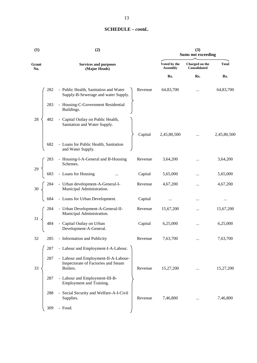| Voted by the<br><b>Total</b><br>Charged on the<br>Grant<br><b>Services and purposes</b><br><b>Assembly</b><br>Consolidated<br>(Major Heads)<br>No.<br>Rs.<br>Rs.<br>Rs.<br>282<br>64,83,700<br>- Public Health, Sanitation and Water<br>Revenue<br>64,83,700<br>$\cdots$<br>Supply-B-Sewerage and water Supply.<br>283<br>- Housing-C-Government Residential<br>Buildings.<br>28<br>482<br>- Capital Outlay on Public Health,<br>Sanitation and Water Supply.<br>2,45,80,500<br>Capital<br>$\cdots$<br>682<br>- Loans for Public Health, Sanitation<br>and Water Supply.<br>- Housing-I-A-General and B-Housing<br>283<br>Revenue<br>3,64,200<br>3,64,200<br>Schemes.<br>- Loans for Housing<br>29<br>683<br>Capital<br>5,65,000<br>5,65,000<br>- Urban development-A-General-I-<br>Revenue<br>4,67,200<br>4,67,200<br><br>Municipal Administration.<br>- Loans for Urban Development.<br>684<br>Capital<br>$\cdots$<br><br>$\cdots$<br>284<br>- Urban Development-A-General-II-<br>15,67,200<br>Revenue<br>15,67,200<br>$\cdots$<br>Municipal Administration.<br>31<br>- Capital Outlay on Urban<br>484<br>Capital<br>6,25,000<br>6,25,000<br>$\cdots$<br>Development-A-General.<br>- Information and Publicity<br>32<br>285<br>7,63,700<br>7,63,700<br>Revenue<br>- Labour and Employment-I-A-Labour.<br>287<br>287<br>- Labour and Employment-II-A-Labour-<br>Inspectorate of Factories and Steam<br>33<br>Boilers.<br>Revenue<br>15,27,200<br>15,27,200<br>$\cdots$<br>287<br>- Labour and Employment-III-B-<br>Employment and Training.<br>- Social Security and Welfare-A-I-Civil<br>288<br>Supplies.<br>Revenue<br>7,46,800<br>7,46,800<br><br>309<br>- Food. | (1) | (2) | (3)<br><b>Sums not exceeding</b> |  |  |             |
|----------------------------------------------------------------------------------------------------------------------------------------------------------------------------------------------------------------------------------------------------------------------------------------------------------------------------------------------------------------------------------------------------------------------------------------------------------------------------------------------------------------------------------------------------------------------------------------------------------------------------------------------------------------------------------------------------------------------------------------------------------------------------------------------------------------------------------------------------------------------------------------------------------------------------------------------------------------------------------------------------------------------------------------------------------------------------------------------------------------------------------------------------------------------------------------------------------------------------------------------------------------------------------------------------------------------------------------------------------------------------------------------------------------------------------------------------------------------------------------------------------------------------------------------------------------------------------------------------------------------------------------------------------------------|-----|-----|----------------------------------|--|--|-------------|
|                                                                                                                                                                                                                                                                                                                                                                                                                                                                                                                                                                                                                                                                                                                                                                                                                                                                                                                                                                                                                                                                                                                                                                                                                                                                                                                                                                                                                                                                                                                                                                                                                                                                      |     |     |                                  |  |  |             |
|                                                                                                                                                                                                                                                                                                                                                                                                                                                                                                                                                                                                                                                                                                                                                                                                                                                                                                                                                                                                                                                                                                                                                                                                                                                                                                                                                                                                                                                                                                                                                                                                                                                                      |     |     |                                  |  |  |             |
|                                                                                                                                                                                                                                                                                                                                                                                                                                                                                                                                                                                                                                                                                                                                                                                                                                                                                                                                                                                                                                                                                                                                                                                                                                                                                                                                                                                                                                                                                                                                                                                                                                                                      |     |     |                                  |  |  |             |
|                                                                                                                                                                                                                                                                                                                                                                                                                                                                                                                                                                                                                                                                                                                                                                                                                                                                                                                                                                                                                                                                                                                                                                                                                                                                                                                                                                                                                                                                                                                                                                                                                                                                      |     |     |                                  |  |  |             |
|                                                                                                                                                                                                                                                                                                                                                                                                                                                                                                                                                                                                                                                                                                                                                                                                                                                                                                                                                                                                                                                                                                                                                                                                                                                                                                                                                                                                                                                                                                                                                                                                                                                                      |     |     |                                  |  |  |             |
|                                                                                                                                                                                                                                                                                                                                                                                                                                                                                                                                                                                                                                                                                                                                                                                                                                                                                                                                                                                                                                                                                                                                                                                                                                                                                                                                                                                                                                                                                                                                                                                                                                                                      |     |     |                                  |  |  | 2,45,80,500 |
|                                                                                                                                                                                                                                                                                                                                                                                                                                                                                                                                                                                                                                                                                                                                                                                                                                                                                                                                                                                                                                                                                                                                                                                                                                                                                                                                                                                                                                                                                                                                                                                                                                                                      |     |     |                                  |  |  |             |
|                                                                                                                                                                                                                                                                                                                                                                                                                                                                                                                                                                                                                                                                                                                                                                                                                                                                                                                                                                                                                                                                                                                                                                                                                                                                                                                                                                                                                                                                                                                                                                                                                                                                      |     |     |                                  |  |  |             |
|                                                                                                                                                                                                                                                                                                                                                                                                                                                                                                                                                                                                                                                                                                                                                                                                                                                                                                                                                                                                                                                                                                                                                                                                                                                                                                                                                                                                                                                                                                                                                                                                                                                                      |     |     |                                  |  |  |             |
|                                                                                                                                                                                                                                                                                                                                                                                                                                                                                                                                                                                                                                                                                                                                                                                                                                                                                                                                                                                                                                                                                                                                                                                                                                                                                                                                                                                                                                                                                                                                                                                                                                                                      |     |     |                                  |  |  |             |
|                                                                                                                                                                                                                                                                                                                                                                                                                                                                                                                                                                                                                                                                                                                                                                                                                                                                                                                                                                                                                                                                                                                                                                                                                                                                                                                                                                                                                                                                                                                                                                                                                                                                      |     |     |                                  |  |  |             |
|                                                                                                                                                                                                                                                                                                                                                                                                                                                                                                                                                                                                                                                                                                                                                                                                                                                                                                                                                                                                                                                                                                                                                                                                                                                                                                                                                                                                                                                                                                                                                                                                                                                                      |     |     |                                  |  |  |             |
|                                                                                                                                                                                                                                                                                                                                                                                                                                                                                                                                                                                                                                                                                                                                                                                                                                                                                                                                                                                                                                                                                                                                                                                                                                                                                                                                                                                                                                                                                                                                                                                                                                                                      |     |     |                                  |  |  |             |
|                                                                                                                                                                                                                                                                                                                                                                                                                                                                                                                                                                                                                                                                                                                                                                                                                                                                                                                                                                                                                                                                                                                                                                                                                                                                                                                                                                                                                                                                                                                                                                                                                                                                      |     |     |                                  |  |  |             |
|                                                                                                                                                                                                                                                                                                                                                                                                                                                                                                                                                                                                                                                                                                                                                                                                                                                                                                                                                                                                                                                                                                                                                                                                                                                                                                                                                                                                                                                                                                                                                                                                                                                                      |     |     |                                  |  |  |             |
|                                                                                                                                                                                                                                                                                                                                                                                                                                                                                                                                                                                                                                                                                                                                                                                                                                                                                                                                                                                                                                                                                                                                                                                                                                                                                                                                                                                                                                                                                                                                                                                                                                                                      |     |     |                                  |  |  |             |
|                                                                                                                                                                                                                                                                                                                                                                                                                                                                                                                                                                                                                                                                                                                                                                                                                                                                                                                                                                                                                                                                                                                                                                                                                                                                                                                                                                                                                                                                                                                                                                                                                                                                      |     |     |                                  |  |  |             |
|                                                                                                                                                                                                                                                                                                                                                                                                                                                                                                                                                                                                                                                                                                                                                                                                                                                                                                                                                                                                                                                                                                                                                                                                                                                                                                                                                                                                                                                                                                                                                                                                                                                                      |     |     |                                  |  |  |             |
|                                                                                                                                                                                                                                                                                                                                                                                                                                                                                                                                                                                                                                                                                                                                                                                                                                                                                                                                                                                                                                                                                                                                                                                                                                                                                                                                                                                                                                                                                                                                                                                                                                                                      |     |     |                                  |  |  |             |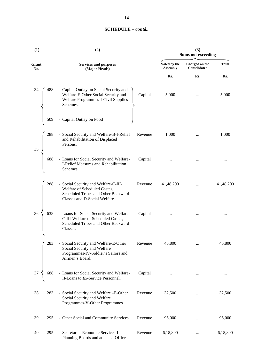| (1)          | (2)                                                                                                                                          | (3)<br><b>Sums not exceeding</b> |                                |              |           |
|--------------|----------------------------------------------------------------------------------------------------------------------------------------------|----------------------------------|--------------------------------|--------------|-----------|
| Grant<br>No. | <b>Services and purposes</b><br>(Major Heads)                                                                                                | Voted by the<br><b>Assembly</b>  | Charged on the<br>Consolidated | <b>Total</b> |           |
|              |                                                                                                                                              |                                  | Rs.                            | Rs.          | Rs.       |
| 488<br>34    | - Capital Outlay on Social Security and<br>Welfare-E-Other Social Security and<br>Welfare Programmes-I-Civil Supplies<br>Schemes.            | Capital                          | 5,000                          | $\cdots$     | 5,000     |
| 509          | - Capital Outlay on Food                                                                                                                     |                                  |                                |              |           |
| 288<br>35    | - Social Security and Welfare-B-I-Relief<br>and Rehabilitation of Displaced<br>Persons.                                                      | Revenue                          | 1,000                          | $\cdots$     | 1,000     |
| 688          | - Loans for Social Security and Welfare-<br>I-Relief Measures and Rehabilitation<br>Schemes.                                                 | Capital                          |                                |              |           |
| 288          | - Social Security and Welfare-C-III-<br>Welfare of Scheduled Castes,<br>Scheduled Tribes and Other Backward<br>Classes and D-Social Welfare. | Revenue                          | 41,48,200                      |              | 41,48,200 |
| 36<br>638    | - Loans for Social Security and Welfare-<br>C-III-Welfare of Scheduled Castes,<br>Scheduled Tribes and Other Backward<br>Classes.            | Capital                          |                                |              |           |
| 283          | - Social Security and Welfare-E-Other<br>Social Security and Welfare<br>Programmes-IV-Soldier's Sailors and<br>Airmen's Board.               | Revenue                          | 45,800                         |              | 45,800    |
| 37<br>688    | - Loans for Social Security and Welfare-<br>II-Loans to Ex-Service Personnel.                                                                | Capital                          |                                |              | $\cdots$  |
| 38<br>283    | - Social Security and Welfare -E-Other<br>Social Security and Welfare<br>Programmes-V-Other Programmes.                                      | Revenue                          | 32,500                         | $\cdots$     | 32,500    |
| 39<br>295    | - Other Social and Community Services.                                                                                                       | Revenue                          | 95,000                         | $\cdots$     | 95,000    |
| 40<br>295    | - Secretariat-Economic Services-II-<br>Planning Boards and attached Offices.                                                                 | Revenue                          | 6,18,800                       |              | 6,18,800  |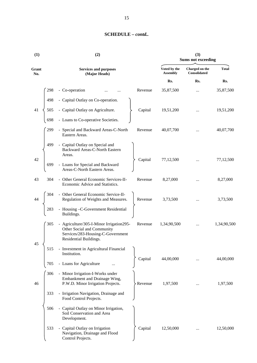| (1)          |     | (2)                                                                                                                                   | (3)<br><b>Sums not exceeding</b> |                                 |                                       |              |
|--------------|-----|---------------------------------------------------------------------------------------------------------------------------------------|----------------------------------|---------------------------------|---------------------------------------|--------------|
| Grant<br>No. |     | <b>Services and purposes</b><br>(Major Heads)                                                                                         |                                  | Voted by the<br><b>Assembly</b> | Charged on the<br><b>Consolidated</b> | <b>Total</b> |
|              |     |                                                                                                                                       |                                  | Rs.                             | Rs.                                   | Rs.          |
|              | 298 | - Co-operation                                                                                                                        | Revenue                          | 35,87,500                       |                                       | 35,87,500    |
|              | 498 | - Capital Outlay on Co-operation.                                                                                                     |                                  |                                 |                                       |              |
| 41           | 505 | - Capital Outlay on Agriculture.                                                                                                      | Capital                          | 19,51,200                       |                                       | 19,51,200    |
|              | 698 | - Loans to Co-operative Societies.                                                                                                    |                                  |                                 |                                       |              |
|              | 299 | - Special and Backward Areas-C-North<br>Eastern Areas.                                                                                | Revenue                          | 40,07,700                       | $\ddotsc$                             | 40,07,700    |
|              | 499 | - Capital Outlay on Special and<br>Backward Areas-C-North Eastern<br>Areas.                                                           |                                  |                                 |                                       |              |
| 42           | 699 | - Loans for Special and Backward<br>Areas-C-North Eastern Areas.                                                                      | Capital                          | 77,12,500                       |                                       | 77,12,500    |
| 43           | 304 | - Other General Economic Services-II-<br>Economic Advice and Statistics.                                                              | Revenue                          | 8,27,000                        |                                       | 8,27,000     |
| 44           | 304 | - Other General Economic Service-II-<br>Regulation of Weights and Measures.                                                           | Revenue                          | 3,73,500                        |                                       | 3,73,500     |
|              | 283 | - Housing -C-Government Residential<br>Buildings.                                                                                     |                                  |                                 |                                       |              |
|              | 305 | - Agriculture/305-I-Minor Irrigation295-<br>Other Social and Community<br>Services/283-Housing-C-Government<br>Residential Buildings. | Revenue                          | 1,34,90,500                     |                                       | 1,34,90,500  |
| 45           | 515 | - Investment in Agricultural Financial<br>Institution.                                                                                |                                  |                                 |                                       |              |
|              | 705 | - Loans for Agriculture                                                                                                               | Capital                          | 44,00,000                       |                                       | 44,00,000    |
| 46           | 306 | - Minor Irrigation-I-Works under<br>Embankment and Drainage Wing,<br>P.W.D. Minor Irrigation Projects.                                | Revenue                          | 1,97,500                        |                                       | 1,97,500     |
|              | 333 | - Irrigation Navigation, Drainage and<br>Food Control Projects.                                                                       |                                  |                                 |                                       |              |
|              | 506 | - Capital Outlay on Minor Irrigation,<br>Soil Conservation and Area<br>Development.                                                   |                                  |                                 |                                       |              |
|              | 533 | - Capital Outlay on Irrigation<br>Navigation, Drainage and Flood<br>Control Projects.                                                 | Capital                          | 12,50,000                       | $\ddotsc$                             | 12,50,000    |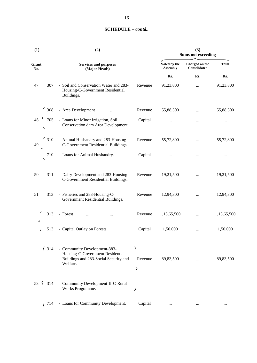| (1)          | (2)                                                                                                                                                                                                                        | (3)<br><b>Sums not exceeding</b> |                                |              |  |
|--------------|----------------------------------------------------------------------------------------------------------------------------------------------------------------------------------------------------------------------------|----------------------------------|--------------------------------|--------------|--|
| Grant<br>No. | <b>Services and purposes</b><br>(Major Heads)                                                                                                                                                                              | Voted by the<br><b>Assembly</b>  | Charged on the<br>Consolidated | <b>Total</b> |  |
|              |                                                                                                                                                                                                                            | Rs.                              | Rs.                            | Rs.          |  |
| 47           | - Soil and Conservation Water and 283-<br>Revenue<br>307<br>Housing-C-Government Residential<br>Buildings.                                                                                                                 | 91,23,800                        |                                | 91,23,800    |  |
|              | Revenue                                                                                                                                                                                                                    | 55,88,500                        | $\dddotsc$                     | 55,88,500    |  |
|              | $48 \begin{cases} 308 & - \text{ Area Development} & \dots \\ 705 & - \text{Loans for Minor Irrigation, Soil} \\ \text{Conservation dam Area Development.} \end{cases}$<br>Capital                                         |                                  | $\cdots$                       | $\cdots$     |  |
|              | 49 $\left\{\n\begin{array}{ccc}\n310 & - & \text{Animal Husbandry and } 283\text{-Housing-} \\ \text{C-Government Residental Buildings.} \\ 710 & - & \text{Loans for Animal Husbandry.}\n\end{array}\n\right.$<br>Revenue | 55,72,800                        | $\dddotsc$                     | 55,72,800    |  |
|              | Capital                                                                                                                                                                                                                    | $\cdots$                         | $\cdots$                       | $\cdots$     |  |
| 50           | 311<br>- Dairy Development and 283-Housing-<br>Revenue<br>C-Government Residential Buildings.                                                                                                                              | 19,21,500                        | $\cdots$                       | 19,21,500    |  |
| 51           | - Fisheries and 283-Housing-C-<br>Revenue<br>313<br>Government Residential Buildings.                                                                                                                                      | 12,94,300                        | $\cdots$                       | 12,94,300    |  |
|              | 3 - Forest<br>3 - Capital Outlay on Forests.<br>Revenue<br>313                                                                                                                                                             | 1,13,65,500                      | $\cdots$                       | 1,13,65,500  |  |
|              | Capital                                                                                                                                                                                                                    | 1,50,000                         | $\cdots$                       | 1,50,000     |  |
|              | - Community Development-383-<br>314<br>Housing-C-Government Residential<br>Buildings and 283-Social Security and<br>Revenue<br>Welfare.                                                                                    | 89,83,500                        |                                | 89,83,500    |  |
| 53           | - Community Development-II-C-Rural<br>314<br>Works Programme.                                                                                                                                                              |                                  |                                |              |  |
|              | - Loans for Community Development.<br>Capital<br>714                                                                                                                                                                       | $\cdots$                         | $\cdots$                       | $\cdots$     |  |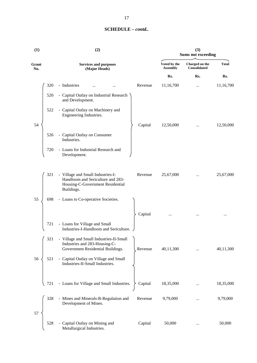| (1)          |     | (2)                                                                                                                      | (3)<br><b>Sums not exceeding</b> |                                 |                                |              |
|--------------|-----|--------------------------------------------------------------------------------------------------------------------------|----------------------------------|---------------------------------|--------------------------------|--------------|
| Grant<br>No. |     | <b>Services and purposes</b><br>(Major Heads)                                                                            |                                  | Voted by the<br><b>Assembly</b> | Charged on the<br>Consolidated | <b>Total</b> |
|              |     |                                                                                                                          |                                  | Rs.                             | Rs.                            | Rs.          |
|              | 320 | - Industries                                                                                                             | Revenue                          | 11,16,700                       |                                | 11,16,700    |
|              | 520 | - Capital Outlay on Industrial Research<br>and Development.                                                              |                                  |                                 |                                |              |
|              | 522 | - Capital Outlay on Machinery and<br>Engineering Industries.                                                             |                                  |                                 |                                |              |
| 54           |     |                                                                                                                          | Capital                          | 12,50,000                       |                                | 12,50,000    |
|              | 526 | - Capital Outlay on Consumer<br>Industries.                                                                              |                                  |                                 |                                |              |
|              | 720 | - Loans for Industrial Research and<br>Development.                                                                      |                                  |                                 |                                |              |
|              | 321 | - Village and Small Industries-I-<br>Handloom and Sericulture and 283-<br>Housing-C-Government Residential<br>Buildings. | Revenue                          | 25,67,000                       | $\cdots$                       | 25,67,000    |
| 55           | 698 | - Loans to Co-operative Societies.                                                                                       |                                  |                                 |                                |              |
|              |     |                                                                                                                          | Capital                          |                                 |                                | $\cdots$     |
|              | 721 | - Loans for Village and Small<br>Industries-I-Handloom and Sericulture.                                                  |                                  |                                 |                                |              |
|              | 321 | - Village and Small Industries-II-Small<br>Industries and 283-Housing-C-<br>Government Residential Buildings.            | Revenue                          | 40,11,300                       |                                | 40,11,300    |
| 56           | 521 | - Capital Outlay on Village and Small<br>Industries-II-Small Industries.                                                 |                                  |                                 |                                |              |
|              | 721 | - Loans for Village and Small Industries.                                                                                | Capital                          | 18,35,000                       |                                | 18,35,000    |
|              | 328 | - Mines and Minerals-B-Regulation and<br>Development of Mines.                                                           | Revenue                          | 9,79,000                        |                                | 9,79,000     |
| 57           |     |                                                                                                                          |                                  |                                 |                                |              |
|              | 528 | - Capital Outlay on Mining and<br>Metallurgical Industries.                                                              | Capital                          | 50,000                          |                                | 50,000       |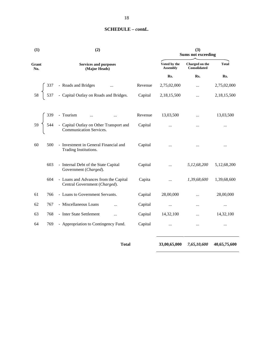| (1)             | (2)                                                                          | (3)<br><b>Sums not exceeding</b> |                                 |                                       |              |
|-----------------|------------------------------------------------------------------------------|----------------------------------|---------------------------------|---------------------------------------|--------------|
| Grant<br>No.    | <b>Services and purposes</b><br>(Major Heads)                                |                                  | Voted by the<br><b>Assembly</b> | Charged on the<br><b>Consolidated</b> | <b>Total</b> |
|                 |                                                                              |                                  | Rs.                             | Rs.                                   | Rs.          |
|                 |                                                                              | Revenue                          | 2,75,02,000                     |                                       | 2,75,02,000  |
| 58 <sup>7</sup> | 337 - Roads and Bridges<br>537 - Capital Outlay on Roads and Bridges.        | Capital                          | 2,18,15,500                     |                                       | 2,18,15,500  |
|                 | - Tourism<br>$\ddotsc$                                                       | Revenue                          | 13,03,500                       |                                       | 13,03,500    |
|                 | 59<br>544 - Capital Outlay on Other Transport and<br>Communication Services. | Capital                          | $\cdots$                        | $\cdots$                              | $\cdots$     |
| 60<br>500       | - Investment in General Financial and<br>Trading Institutions.               | Capital                          | $\cdots$                        |                                       |              |
| 603             | - Internal Debt of the State Capital<br>Government (Charged).                | Capital                          | $\dddotsc$                      | 5,12,68,200                           | 5,12,68,200  |
| 604             | - Loans and Advances from the Capital<br>Central Government (Charged).       | Capita                           | $\cdots$                        | 1,39,68,600                           | 1,39,68,600  |
| 61<br>766       | - Loans to Government Servants.                                              | Capital                          | 28,00,000                       | $\ddotsc$                             | 28,00,000    |
| 62<br>767       | - Miscellaneous Loans<br>$\cdots$                                            | Capital                          | $\ldots$                        |                                       | $\cdots$     |
| 63<br>768       | - Inter State Settlement<br>$\cdots$                                         | Capital                          | 14,32,100                       | $\cdots$                              | 14,32,100    |
| 64<br>769       | - Appropriation to Contingency Fund.                                         | Capital                          | $\cdots$                        | $\cdots$                              | $\cdots$     |

**Total 33,00,65,000** *7,65,10,600* **40,65,75,600**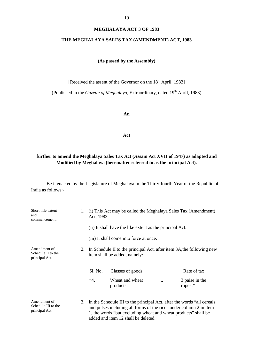#### **MEGHALAYA ACT 3 OF 1983**

#### **THE MEGHALAYA SALES TAX (AMENDMENT) ACT, 1983**

## **(As passed by the Assembly)**

[Received the assent of the Governor on the 18<sup>th</sup> April, 1983]

(Published in the *Gazette of Meghalaya*, Extraordinary, dated  $19<sup>th</sup>$  April, 1983)

**An**

**Act**

# **further to amend the Meghalaya Sales Tax Act (Assam Act XVII of 1947) as adapted and Modified by Meghalaya (hereinafter referred to as the principal Act).**

| Short title extent<br>and<br>commencement.            | 1. | (i) This Act may be called the Meghalaya Sales Tax (Amendment)<br>Act, 1983.                                                                                                                                                                           |                                                          |           |                                                                       |  |
|-------------------------------------------------------|----|--------------------------------------------------------------------------------------------------------------------------------------------------------------------------------------------------------------------------------------------------------|----------------------------------------------------------|-----------|-----------------------------------------------------------------------|--|
|                                                       |    |                                                                                                                                                                                                                                                        | (ii) It shall have the like extent as the principal Act. |           |                                                                       |  |
|                                                       |    | (iii) It shall come into force at once.                                                                                                                                                                                                                |                                                          |           |                                                                       |  |
| Amendment of<br>Schedule II to the<br>principal Act.  | 2. |                                                                                                                                                                                                                                                        | item shall be added, namely:-                            |           | In Schedule II to the principal Act, after item 3A, the following new |  |
|                                                       |    | Sl. No.                                                                                                                                                                                                                                                | Classes of goods                                         |           | Rate of tax                                                           |  |
|                                                       |    | 4.                                                                                                                                                                                                                                                     | Wheat and wheat<br>products.                             | $\ddotsc$ | 3 paise in the<br>rupee."                                             |  |
| Amendment of<br>Schedule III to the<br>principal Act. | 3. | In the Schedule III to the principal Act, after the words "all cereals"<br>and pulses including all forms of the rice" under column 2 in item<br>1, the words "but excluding wheat and wheat products" shall be<br>added and item 12 shall be deleted. |                                                          |           |                                                                       |  |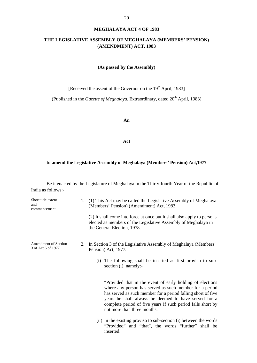#### **MEGHALAYA ACT 4 OF 1983**

# **THE LEGISLATIVE ASSEMBLY OF MEGHALAYA (MEMBERS' PENSION) (AMENDMENT) ACT, 1983**

#### **(As passed by the Assembly)**

[Received the assent of the Governor on the 19<sup>th</sup> April, 1983]

(Published in the *Gazette of Meghalaya*, Extraordinary, dated 20<sup>th</sup> April, 1983)

**An**

**Act**

#### **to amend the Legislative Assembly of Meghalaya (Members' Pension) Act,1977**

| Short title extent<br>and<br>commencement.         | 1. (1) This Act may be called the Legislative Assembly of Meghalaya<br>(Members' Pension) (Amendment) Act, 1983.                                                                                                                                                                                                                            |
|----------------------------------------------------|---------------------------------------------------------------------------------------------------------------------------------------------------------------------------------------------------------------------------------------------------------------------------------------------------------------------------------------------|
|                                                    | (2) It shall come into force at once but it shall also apply to persons<br>elected as members of the Legislative Assembly of Meghalaya in<br>the General Election, 1978.                                                                                                                                                                    |
| <b>Amendment of Section</b><br>3 of Act 6 of 1977. | 2. In Section 3 of the Legislative Assembly of Meghalaya (Members'<br>Pension) Act, 1977.                                                                                                                                                                                                                                                   |
|                                                    | The following shall be inserted as first proviso to sub-<br>(i)<br>section (i), namely:-                                                                                                                                                                                                                                                    |
|                                                    | "Provided that in the event of early holding of elections"<br>where any person has served as such member for a period<br>has served as such member for a period falling short of five<br>years he shall always be deemed to have served for a<br>complete period of five years if such period falls short by<br>not more than three months. |
|                                                    | (ii) In the existing proviso to sub-section (i) between the words<br>"Provided" and "that", the words "further" shall be<br>inserted.                                                                                                                                                                                                       |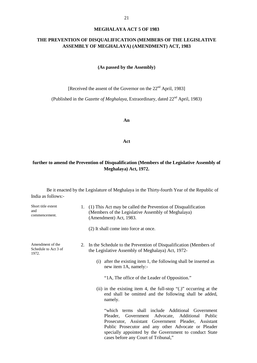#### **MEGHALAYA ACT 5 OF 1983**

# **THE PREVENTION OF DISQUALIFICATION (MEMBERS OF THE LEGISLATIVE ASSEMBLY OF MEGHALAYA) (AMENDMENT) ACT, 1983**

**(As passed by the Assembly)**

[Received the assent of the Governor on the 22<sup>nd</sup> April, 1983]

(Published in the *Gazette of Meghalaya*, Extraordinary, dated 22nd April, 1983)

**An**

**Act**

# **further to amend the Prevention of Disqualification (Members of the Legislative Assembly of Meghalaya) Act, 1972.**

| Short title extent<br>and<br>commencement.        | 1. (1) This Act may be called the Prevention of Disqualification<br>(Members of the Legislative Assembly of Meghalaya)<br>(Amendment) Act, 1983.                                                                                                            |                                                                   |
|---------------------------------------------------|-------------------------------------------------------------------------------------------------------------------------------------------------------------------------------------------------------------------------------------------------------------|-------------------------------------------------------------------|
|                                                   | (2) It shall come into force at once.                                                                                                                                                                                                                       |                                                                   |
| Amendment of the<br>Schedule to Act 3 of<br>1972. | In the Schedule to the Prevention of Disqualification (Members of<br>2.<br>the Legislative Assembly of Meghalaya) Act, 1972-                                                                                                                                |                                                                   |
|                                                   | (i) after the existing item 1, the following shall be inserted as<br>new item 1A, namely:-                                                                                                                                                                  |                                                                   |
|                                                   | "1A, The office of the Leader of Opposition."                                                                                                                                                                                                               |                                                                   |
|                                                   | (ii) in the existing item 4, the full-stop $\lq$ .)" occurring at the<br>end shall be omitted and the following shall be added,<br>namely.                                                                                                                  |                                                                   |
|                                                   | "which"<br>Pleader, Government<br>Advocate,<br>Prosecutor, Assistant Government Pleader, Assistant<br>Public Prosecutor and any other Advocate or Pleader<br>specially appointed by the Government to conduct State<br>cases before any Court of Tribunal," | terms shall include Additional Government<br>Additional<br>Public |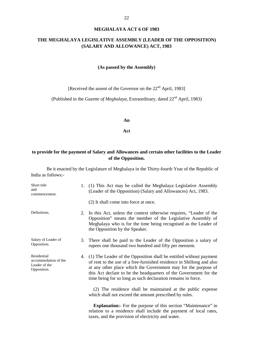# **THE MEGHALAYA LEGISLATIVE ASSEMBLY (LEADER OF THE OPPOSITION) (SALARY AND ALLOWANCE) ACT, 1983**

#### **(As passed by the Assembly)**

[Received the assent of the Governor on the 22<sup>nd</sup> April, 1983]

(Published in the *Gazette of Meghalaya*, Extraordinary, dated 22nd April, 1983)

#### **An**

**Act**

# **to provide for the payment of Salary and Allowances and certain other facilities to the Leader of the Opposition.**

| Short title<br>and<br>commencement.                                 |    | 1. (1) This Act may be called the Meghalaya Legislative Assembly<br>(Leader of the Opposition) (Salary and Allowances) Act, 1983.                                                                                                                                                                                                                     |
|---------------------------------------------------------------------|----|-------------------------------------------------------------------------------------------------------------------------------------------------------------------------------------------------------------------------------------------------------------------------------------------------------------------------------------------------------|
|                                                                     |    | (2) It shall come into force at once.                                                                                                                                                                                                                                                                                                                 |
| Definitions.                                                        |    | 2. In this Act, unless the context otherwise requires, "Leader of the<br>Opposition" means the member of the Legislative Assembly of<br>Meghalaya who is for the time being recognised as the Leader of<br>the Opposition by the Speaker.                                                                                                             |
| Salary of Leader of<br>Opposition.                                  | 3. | There shall be paid to the Leader of the Opposition a salary of<br>rupees one thousand two hundred and fifty per mensem.                                                                                                                                                                                                                              |
| Residential<br>accommodation of the<br>Leader of the<br>Opposition. |    | 4. (1) The Leader of the Opposition shall be entitled without payment<br>of rent to the use of a free-furnished residence in Shillong and also<br>at any other place which the Government may for the purpose of<br>this Act declare to be the headquarters of the Government for the<br>time being for so long as such declaration remains in force. |
|                                                                     |    | (2) The residence shall be maintained at the public expense<br>which shall not exceed the amount prescribed by rules.                                                                                                                                                                                                                                 |
|                                                                     |    | <b>Explanation:</b> For the purpose of this section "Maintenance" in<br>relation to a residence shall include the payment of local rates,<br>taxes, and the provision of electricity and water.                                                                                                                                                       |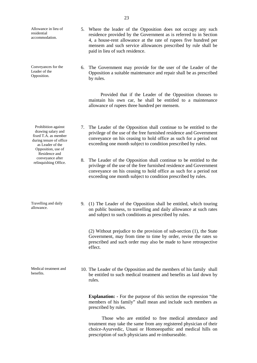Allowance in lieu of residential accommodation. 5. Where the leader of the Opposition does not occupy any such residence provided by the Government as is referred to in Section 4, a house-rent allowance at the rate of rupees five hundred per mensem and such service allowances prescribed by rule shall be paid in lieu of such residence. Conveyances for the Leader of the Opposition. 6. The Government may provide for the user of the Leader of the Opposition a suitable maintenance and repair shall be as prescribed by rules. Provided that if the Leader of the Opposition chooses to maintain his own car, he shall be entitled to a maintenance allowance of rupees three hundred per mensem. Prohibition against drawing salary and fixed T.A. as member during tenure of office as Leader of the Opposition, use of Residence and conveyance after relinquishing Office. 7. The Leader of the Opposition shall continue to be entitled to the privilege of the use of the free furnished residence and Government conveyance on his ceasing to hold office as such for a period not exceeding one month subject to condition prescribed by rules. 8. The Leader of the Opposition shall continue to be entitled to the privilege of the use of the free furnished residence and Government conveyance on his ceasing to hold office as such for a period not exceeding one month subject to condition prescribed by rules. Travelling and daily allowance. 9. (1) The Leader of the Opposition shall be entitled, which touring on public business, to travelling and daily allowance at such rates and subject to such conditions as prescribed by rules. (2) Without prejudice to the provision of sub-section (1), the State Government, may from time to time by order, revise the rates so prescribed and such order may also be made to have retrospective effect. Medical treatment and benefits. 10. The Leader of the Opposition and the members of his family shall be entitled to such medical treatment and benefits as laid down by rules. **Explanation: -** For the purpose of this section the expression "the members of his family" shall mean and include such members as prescribed by rules. Those who are entitled to free medical attendance and treatment may take the same from any registered physician of their choice-Ayurvedic, Unani or Homoeopathic and medical hills on

prescription of such physicians and re-imburseable.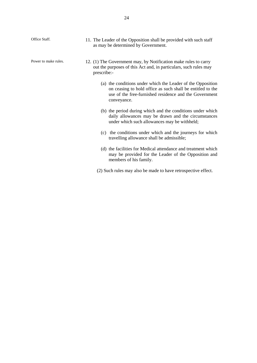| Office Staff.        | 11. The Leader of the Opposition shall be provided with such staff<br>as may be determined by Government.                                                                                          |
|----------------------|----------------------------------------------------------------------------------------------------------------------------------------------------------------------------------------------------|
| Power to make rules. | 12. (1) The Government may, by Notification make rules to carry<br>out the purposes of this Act and, in particulars, such rules may<br>prescribe:-                                                 |
|                      | (a) the conditions under which the Leader of the Opposition<br>on ceasing to hold office as such shall be entitled to the<br>use of the free-furnished residence and the Government<br>conveyance. |
|                      | (b) the period during which and the conditions under which<br>daily allowances may be drawn and the circumstances<br>under which such allowances may be withheld;                                  |
|                      | the conditions under which and the journeys for which<br>(c)<br>travelling allowance shall be admissible;                                                                                          |
|                      | (d) the facilities for Medical attendance and treatment which<br>may be provided for the Leader of the Opposition and<br>members of his family.                                                    |
|                      | (2) Such rules may also be made to have retrospective effect.                                                                                                                                      |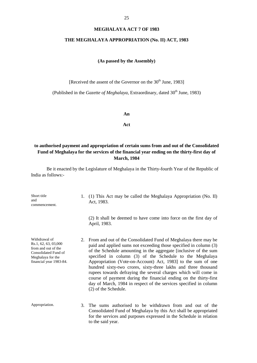#### **MEGHALAYA ACT 7 OF 1983**

#### **THE MEGHALAYA APPROPRIATION (No. II) ACT, 1983**

## **(As passed by the Assembly)**

[Received the assent of the Governor on the  $30<sup>th</sup>$  June, 1983]

(Published in the *Gazette of Meghalaya*, Extraordinary, dated 30<sup>th</sup> June, 1983)

**An**

**Act**

# **to authorised payment and appropriation of certain sums from and out of the Consolidated Fund of Meghalaya for the services of the financial year ending on the thirty-first day of March, 1984**

| Short title<br>and<br>commencement.                                                                                                  |    | 1. (1) This Act may be called the Meghalaya Appropriation (No. II)<br>Act, 1983.                                                                                                                                                                                                                                                                                                                                                                                                                                                                                                                                                               |
|--------------------------------------------------------------------------------------------------------------------------------------|----|------------------------------------------------------------------------------------------------------------------------------------------------------------------------------------------------------------------------------------------------------------------------------------------------------------------------------------------------------------------------------------------------------------------------------------------------------------------------------------------------------------------------------------------------------------------------------------------------------------------------------------------------|
|                                                                                                                                      |    | (2) It shall be deemed to have come into force on the first day of<br>April, 1983.                                                                                                                                                                                                                                                                                                                                                                                                                                                                                                                                                             |
| Withdrawal of<br>Rs.1, 62, 63, 03,000<br>from and out of the<br>Consolidated Fund of<br>Meghalaya for the<br>financial year 1983-84. |    | 2. From and out of the Consolidated Fund of Meghalaya there may be<br>paid and applied sums not exceeding those specified in column (3)<br>of the Schedule amounting in the aggregate [inclusive of the sum<br>specified in column (3) of the Schedule to the Meghalaya<br>Appropriation (Vote-on-Account) Act, 1983] to the sum of one<br>hundred sixty-two crores, sixty-three lakhs and three thousand<br>rupees towards defraying the several charges which will come in<br>course of payment during the financial ending on the thirty-first<br>day of March, 1984 in respect of the services specified in column<br>(2) of the Schedule. |
| Appropriation.                                                                                                                       | 3. | The sums authorised to be withdrawn from and out of the<br>Consolidated Fund of Meghalaya by this Act shall be appropriated<br>for the services and purposes expressed in the Schedule in relation<br>to the said year.                                                                                                                                                                                                                                                                                                                                                                                                                        |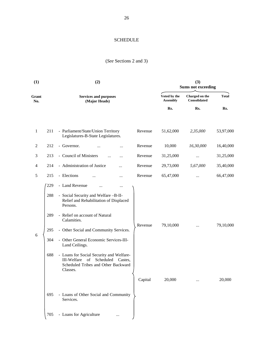# SCHEDULE

# (*See* Sections 2 and 3)

| (1)            |                                        | (2)                                                                                                                                                                                                                                                                                                                                                                                                                |                                 | (3)<br><b>Sums not exceeding</b> |              |                     |
|----------------|----------------------------------------|--------------------------------------------------------------------------------------------------------------------------------------------------------------------------------------------------------------------------------------------------------------------------------------------------------------------------------------------------------------------------------------------------------------------|---------------------------------|----------------------------------|--------------|---------------------|
| Grant<br>No.   |                                        | <b>Services and purposes</b><br>(Major Heads)                                                                                                                                                                                                                                                                                                                                                                      | Voted by the<br><b>Assembly</b> | Charged on the<br>Consolidated   | <b>Total</b> |                     |
|                |                                        |                                                                                                                                                                                                                                                                                                                                                                                                                    |                                 | Rs.                              | Rs.          | Rs.                 |
| $\mathbf{1}$   | 211                                    | - Parliament/State/Union Territory<br>Legislatures-B-State Legislatures.                                                                                                                                                                                                                                                                                                                                           | Revenue                         | 51,62,000                        | 2,35,000     | 53,97,000           |
| $\overline{c}$ | 212                                    | - Governor.<br>.                                                                                                                                                                                                                                                                                                                                                                                                   | Revenue                         | 10,000                           | 16,30,000    | 16,40,000           |
| 3              | 213                                    | - Council of Ministers<br>$\cdots$                                                                                                                                                                                                                                                                                                                                                                                 | Revenue                         | 31,25,000                        |              | 31,25,000           |
| 4              | 214                                    | - Administration of Justice<br>                                                                                                                                                                                                                                                                                                                                                                                    | Revenue                         | 29,73,000                        | 5,67,000     | 35,40,000           |
| $\mathfrak s$  | 215                                    | - Elections<br>                                                                                                                                                                                                                                                                                                                                                                                                    | Revenue                         | 65,47,000                        |              | 66,47,000           |
| 6              | 229<br>288<br>289<br>295<br>304<br>688 | - Land Revenue<br>$\cdots$<br>- Social Security and Welfare -B-II-<br>Relief and Rehabilitation of Displaced<br>Persons.<br>- Relief on account of Natural<br>Calamities.<br>- Other Social and Community Services.<br>- Other General Economic Services-III-<br>Land Ceilings.<br>- Loans for Social Security and Welfare-<br>III-Welfare of Scheduled Castes,<br>Scheduled Tribes and Other Backward<br>Classes. | Revenue<br>Capital              | 79,10,000<br>20,000              |              | 79,10,000<br>20,000 |
|                | 695                                    | - Loans of Other Social and Community<br>Services.                                                                                                                                                                                                                                                                                                                                                                 |                                 |                                  |              |                     |
|                | 705                                    | - Loans for Agriculture<br>                                                                                                                                                                                                                                                                                                                                                                                        |                                 |                                  |              |                     |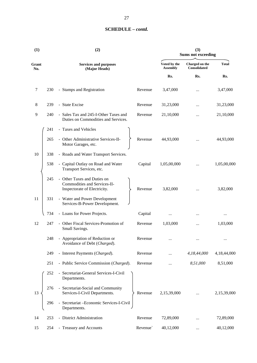| (1)          |     | (2)                                                                                         |          | (3)<br><b>Sums not exceeding</b> |                                |              |  |
|--------------|-----|---------------------------------------------------------------------------------------------|----------|----------------------------------|--------------------------------|--------------|--|
| Grant<br>No. |     | <b>Services and purposes</b><br>(Major Heads)                                               |          | Voted by the<br><b>Assembly</b>  | Charged on the<br>Consolidated | <b>Total</b> |  |
|              |     |                                                                                             |          | Rs.                              | Rs.                            | Rs.          |  |
| 7            | 230 | - Stamps and Registration                                                                   | Revenue  | 3,47,000                         |                                | 3,47,000     |  |
| 8            | 239 | - State Excise                                                                              | Revenue  | 31,23,000                        |                                | 31,23,000    |  |
| 9            | 240 | - Sales Tax and 245-I-Other Taxes and<br>Duties on Commodities and Services.                | Revenue  | 21,10,000                        | $\cdots$                       | 21,10,000    |  |
|              | 241 | - Taxes and Vehicles                                                                        |          |                                  |                                |              |  |
|              | 265 | - Other Administrative Services-II-<br>Motor Garages, etc.                                  | Revenue  | 44,93,000                        |                                | 44,93,000    |  |
| 10           | 338 | - Roads and Water Transport Services.                                                       |          |                                  |                                |              |  |
|              | 538 | - Capital Outlay on Road and Water<br>Transport Services, etc.                              | Capital  | 1,05,00,000                      |                                | 1,05,00,000  |  |
|              | 245 | - Other Taxes and Duties on<br>Commodities and Services-II-<br>Inspectorate of Electricity. | Revenue  | 3,82,000                         |                                | 3,82,000     |  |
| 11           | 331 | - Water and Power Development<br>Services-B-Power Development.                              |          |                                  |                                |              |  |
|              | 734 | - Loans for Power Projects.                                                                 | Capital  |                                  |                                |              |  |
| 12           | 247 | - Other Fiscal Services-Promotion of<br>Small Savings.                                      | Revenue  | 1,03,000                         |                                | 1,03,000     |  |
|              | 248 | - Appropriation of Reduction or<br>Avoidance of Debt (Charged).                             | Revenue  |                                  |                                |              |  |
|              | 249 | - Interest Payments (Charged).                                                              | Revenue  |                                  | 4,18,44,000                    | 4,18,44,000  |  |
|              | 251 | - Public Service Commission (Charged).                                                      | Revenue  |                                  | 8,51,000                       | 8,51,000     |  |
|              | 252 | - Secretariat-General Services-I-Civil<br>Departments.                                      |          |                                  |                                |              |  |
| 13           | 276 | - Secretariat-Social and Community<br>Services-I-Civil Departments.                         | Revenue  | 2,15,39,000                      |                                | 2,15,39,000  |  |
|              | 296 | - Secretariat - Economic Services-I-Civil<br>Departments.                                   |          |                                  |                                |              |  |
| 14           | 253 | - District Administration                                                                   | Revenue  | 72,89,000                        |                                | 72,89,000    |  |
| 15           | 254 | - Treasury and Accounts                                                                     | Revenue` | 40,12,000                        |                                | 40,12,000    |  |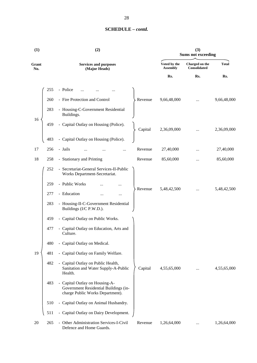| (1)          |     | (2)                                                                                                         |         |                                 | (3)<br><b>Sums not exceeding</b>      |              |  |  |
|--------------|-----|-------------------------------------------------------------------------------------------------------------|---------|---------------------------------|---------------------------------------|--------------|--|--|
| Grant<br>No. |     | <b>Services and purposes</b><br>(Major Heads)                                                               |         | Voted by the<br><b>Assembly</b> | Charged on the<br><b>Consolidated</b> | <b>Total</b> |  |  |
|              |     |                                                                                                             |         | Rs.                             | Rs.                                   | Rs.          |  |  |
|              | 255 | - Police                                                                                                    |         |                                 |                                       |              |  |  |
|              | 260 | - Fire Protection and Control                                                                               | Revenue | 9,66,48,000                     |                                       | 9,66,48,000  |  |  |
|              | 283 | - Housing-C-Government Residential<br>Buildings.                                                            |         |                                 |                                       |              |  |  |
| 16           | 459 | - Capital Outlay on Housing (Police).                                                                       | Capital | 2,36,09,000                     |                                       | 2,36,09,000  |  |  |
|              | 483 | - Capital Outlay on Housing (Police).                                                                       |         |                                 |                                       |              |  |  |
| 17           | 256 | - Jails                                                                                                     | Revenue | 27,40,000                       |                                       | 27,40,000    |  |  |
| 18           | 258 | - Stationary and Printing                                                                                   | Revenue | 85,60,000                       | $\ddotsc$                             | 85,60,000    |  |  |
|              | 252 | - Secretariat-General Services-II-Public<br>Works Department-Secretariat.                                   |         |                                 |                                       |              |  |  |
|              | 259 | - Public Works                                                                                              |         |                                 |                                       |              |  |  |
|              | 277 | - Education<br>                                                                                             | Revenue | 5,48,42,500                     |                                       | 5,48,42,500  |  |  |
|              | 283 | - Housing-II-C-Government Residential<br>Buildings (I/C P.W.D.).                                            |         |                                 |                                       |              |  |  |
|              | 459 | - Capital Outlay on Public Works.                                                                           |         |                                 |                                       |              |  |  |
|              | 477 | - Capital Outlay on Education, Arts and<br>Culture.                                                         |         |                                 |                                       |              |  |  |
|              | 480 | - Capital Outlay on Medical.                                                                                |         |                                 |                                       |              |  |  |
| 19           | 481 | - Capital Outlay on Family Welfare.                                                                         |         |                                 |                                       |              |  |  |
|              | 482 | - Capital Outlay on Public Health,<br>Sanitation and Water Supply-A-Public<br>Health.                       | Capital | 4,55,65,000                     | $\cdots$                              | 4,55,65,000  |  |  |
|              | 483 | - Capital Outlay on Housing-A-<br>Government Residential Buildings (in-<br>charge Public Works Department). |         |                                 |                                       |              |  |  |
|              | 510 | - Capital Outlay on Animal Husbandry.                                                                       |         |                                 |                                       |              |  |  |
|              | 511 | - Capital Outlay on Dairy Development.                                                                      |         |                                 |                                       |              |  |  |
| 20           | 265 | - Other Administration Services-I-Civil<br>Defence and Home Guards.                                         | Revenue | 1,26,64,000                     |                                       | 1,26,64,000  |  |  |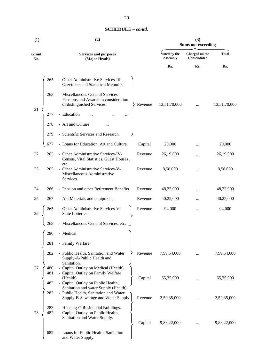|              |                                               |                                                                                                         |         |                                 | <b>Sums not exceeding</b>             |              |  |  |
|--------------|-----------------------------------------------|---------------------------------------------------------------------------------------------------------|---------|---------------------------------|---------------------------------------|--------------|--|--|
| Grant<br>No. | <b>Services and purposes</b><br>(Major Heads) |                                                                                                         |         | Voted by the<br><b>Assembly</b> | Charged on the<br><b>Consolidated</b> | <b>Total</b> |  |  |
|              |                                               |                                                                                                         |         | Rs.                             | Rs.                                   | Rs.          |  |  |
|              | 265                                           | - Other Administrative Services-III-<br>Gazetteers and Statistical Memoirs.                             |         |                                 |                                       |              |  |  |
| 21           | 268                                           | - Miscellaneous General Services-<br>Pensions and Awards in consideration<br>of distinguished Services. | Revenue | 13,51,70,000                    | $\cdots$                              | 13,51,70,000 |  |  |
|              | 277                                           | - Education<br>                                                                                         |         |                                 |                                       |              |  |  |
|              | 278                                           | - Art and Culture                                                                                       |         |                                 |                                       |              |  |  |
|              | 279                                           | - Scientific Services and Research.                                                                     |         |                                 |                                       |              |  |  |
|              | 677                                           | - Loans for Education, Art and Culture.                                                                 | Capital | 20,000                          | $\ddotsc$                             | 20,000       |  |  |
| 22           | 265                                           | - Other Administrative Services-IV-<br>Census, Vital Statistics, Guest Houses,<br>etc.                  | Revenue | 26,19,000                       |                                       | 26,19,000    |  |  |
| 23           | 265                                           | - Other Administrative Services-V-<br>Miscellaneous Administrative<br>Services.                         | Revenue | 8,58,000                        | $\cdots$                              | 8,58,000     |  |  |

**(1) (2) (3)**

**Grant No.**

|    |            | Miscellaneous Administrative<br>Services.                                                                |         |             |           |             |
|----|------------|----------------------------------------------------------------------------------------------------------|---------|-------------|-----------|-------------|
| 24 | 266        | - Pension and other Retirement Benefits.                                                                 | Revenue | 48,22,000   |           | 48,22,000   |
| 25 | 267        | - Aid Materials and equipments.                                                                          | Revenue | 40,25,000   |           | 40,25,000   |
| 26 | 265        | - Other Administrative Services-VI-<br>State Lotteries.                                                  | Revenue | 94,000      | $\ddotsc$ | 94,000      |
|    | 268        | - Miscellaneous General Services, etc.                                                                   |         |             |           |             |
|    | 280        | - Medical                                                                                                |         |             |           |             |
|    | 281        | - Family Welfare                                                                                         |         |             |           |             |
|    | 282        | - Public Health, Sanitation and Water<br>Supply-A-Public Health and<br>Sanitation.                       | Revenue | 7,99,54,000 |           | 7,99,54,000 |
| 27 | 480<br>481 | - Capital Outlay on Medical (Health).<br>- Capital Outlay on Family Welfare<br>(Health).                 | Capital | 55,35,000   |           | 55,35,000   |
|    | 482        | - Capital Outlay on Public Health,<br>Sanitation and water Supply (Health).                              |         |             |           |             |
|    | 282        | - Public Health, Sanitation and Water<br>Supply-B-Sewerage and Water Supply.                             | Revenue | 2,59,35,000 |           | 2,59,35,000 |
| 28 | 283<br>482 | - Housing-C-Residential Buildings.<br>- Capital Outlay on Public Health,<br>Sanitation and Water Supply. |         |             |           |             |
|    |            |                                                                                                          | Capital | 9,83,22,000 |           | 9,83,22,000 |
|    | 682        | - Loans for Public Health, Sanitation<br>and Water Supply.                                               |         |             |           |             |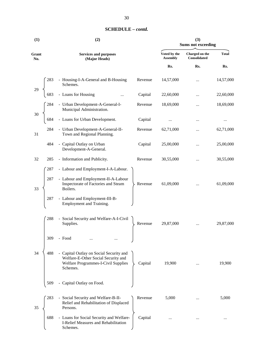| (1)          |     | (2)                                                                                                                               | (3)<br><b>Sums not exceeding</b> |                                 |                                       |              |
|--------------|-----|-----------------------------------------------------------------------------------------------------------------------------------|----------------------------------|---------------------------------|---------------------------------------|--------------|
| Grant<br>No. |     | <b>Services and purposes</b><br>(Major Heads)                                                                                     |                                  | Voted by the<br><b>Assembly</b> | Charged on the<br><b>Consolidated</b> | <b>Total</b> |
|              |     |                                                                                                                                   |                                  | Rs.                             | Rs.                                   | Rs.          |
|              | 283 | - Housing-I-A-General and B-Housing<br>Schemes.                                                                                   | Revenue                          | 14,57,000                       | $\cdots$                              | 14,57,000    |
| 29           | 683 | - Loans for Housing<br>$\cdots$                                                                                                   | Capital                          | 22,60,000                       | $\cdots$                              | 22,60,000    |
|              | 284 | - Urban Development-A-General-I-<br>Municipal Administration.                                                                     | Revenue                          | 18,69,000                       |                                       | 18,69,000    |
| 30           | 684 | - Loans for Urban Development.                                                                                                    | Capital                          |                                 |                                       |              |
| 31           | 284 | - Urban Development-A-General-II-<br>Town and Regional Planning.                                                                  | Revenue                          | 62,71,000                       | $\cdots$                              | 62,71,000    |
|              | 484 | - Capital Outlay on Urban<br>Development-A-General.                                                                               | Capital                          | 25,00,000                       |                                       | 25,00,000    |
| 32           | 285 | - Information and Publicity.                                                                                                      | Revenue                          | 30,55,000                       |                                       | 30,55,000    |
|              | 287 | - Labour and Employment-I-A-Labour.                                                                                               |                                  |                                 |                                       |              |
| 33           | 287 | - Labour and Employment-II-A-Labour<br>Inspectorate of Factories and Steam<br>Boilers.                                            | Revenue                          | 61,09,000                       | $\cdots$                              | 61,09,000    |
|              | 287 | - Labour and Employment-III-B-<br>Employment and Training.                                                                        |                                  |                                 |                                       |              |
|              | 288 | - Social Security and Welfare-A-I-Civil<br>Supplies.                                                                              | Revenue                          | 29,87,000                       |                                       | 29,87,000    |
|              | 309 | - Food                                                                                                                            |                                  |                                 |                                       |              |
| 34           | 488 | - Capital Outlay on Social Security and<br>Welfare-E-Other Social Security and<br>Welfare Programmes-I-Civil Supplies<br>Schemes. | Capital                          | 19,900                          | $\cdots$                              | 19,900       |
|              | 509 | - Capital Outlay on Food.                                                                                                         |                                  |                                 |                                       |              |
| 35           | 283 | - Social Security and Welfare-B-II-<br>Relief and Rehabilitation of Displaced<br>Persons.                                         | Revenue                          | 5,000                           |                                       | 5,000        |
|              | 688 | - Loans for Social Security and Welfare-<br>I-Relief Measures and Rehabilitation<br>Schemes.                                      | Capital                          | $\cdots$                        |                                       |              |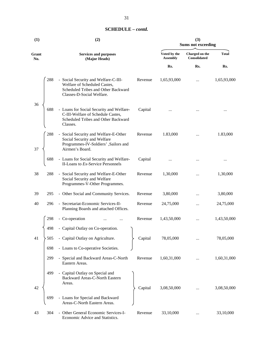| (1)          | (2)                                                                                                                                                        | (3)<br><b>Sums not exceeding</b> |                                |              |  |
|--------------|------------------------------------------------------------------------------------------------------------------------------------------------------------|----------------------------------|--------------------------------|--------------|--|
| Grant<br>No. | <b>Services and purposes</b><br>(Major Heads)                                                                                                              | Voted by the<br><b>Assembly</b>  | Charged on the<br>Consolidated | <b>Total</b> |  |
|              |                                                                                                                                                            | Rs.                              | Rs.                            | Rs.          |  |
|              | 288<br>- Social Security and Welfare-C-III-<br>Revenue<br>Welfare of Scheduled Castes,<br>Scheduled Tribes and Other Backward<br>Classes-D-Social Welfare. | 1,65,93,000                      |                                | 1,65,93,000  |  |
| 36           | 688<br>- Loans for Social Security and Welfare-<br>Capital<br>C-III-Welfare of Schedule Castes,<br>Scheduled Tribes and Other Backward<br>Classes.         |                                  |                                |              |  |
| 37           | 288<br>- Social Security and Welfare-E-Other<br>Revenue<br>Social Security and Welfare<br>Programmes-IV-Soldiers', Sailors and<br>Airmen's Board.          | 1.83,000                         |                                | 1.83,000     |  |
|              | 688<br>Capital<br>- Loans for Social Security and Welfare-<br>II-Loans to Ex-Service Personnels                                                            |                                  |                                |              |  |
| 38           | 288<br>Revenue<br>- Social Security and Welfare-E-Other<br>Social Security and Welfare<br>Programmes-V-Other Programmes.                                   | 1,30,000                         | $\ddotsc$                      | 1,30,000     |  |
| 39           | - Other Social and Community Services.<br>295<br>Revenue                                                                                                   | 3,80,000                         | $\cdots$                       | 3,80,000     |  |
| 40           | - Secretariat-Economic Services-II-<br>296<br>Revenue<br>Planning Boards and attached Offices.                                                             | 24,75,000                        |                                | 24,75,000    |  |
|              | 298<br>- Co-operation<br>Revenue                                                                                                                           | 1,43,50,000                      |                                | 1,43,50,000  |  |
|              | - Capital Outlay on Co-operation.<br>498                                                                                                                   |                                  |                                |              |  |
| 41           | - Capital Outlay on Agriculture.<br>505<br>Capital                                                                                                         | 78,05,000                        |                                | 78,05,000    |  |
|              | - Loans to Co-operative Societies.<br>698                                                                                                                  |                                  |                                |              |  |
|              | 299<br>- Special and Backward Areas-C-North<br>Revenue<br>Eastern Areas.                                                                                   | 1,60,31,000                      |                                | 1,60,31,000  |  |
| 42           | - Capital Outlay on Special and<br>499<br>Backward Areas-C-North Eastern<br>Areas.<br>Capital                                                              | 3,08,50,000                      |                                | 3,08,50,000  |  |
|              | - Loans for Special and Backward<br>699<br>Areas-C-North Eastern Areas.                                                                                    |                                  |                                |              |  |
| 43           | - Other General Economic Services-I-<br>304<br>Revenue<br>Economic Advice and Statistics.                                                                  | 33,10,000                        |                                | 33,10,000    |  |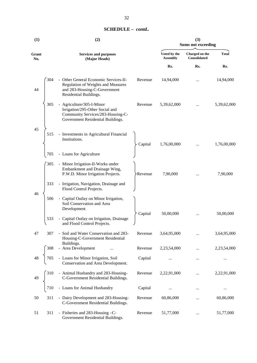| (1)          |            | (2)                                                                                                                                                           |         | (3)<br><b>Sums not exceeding</b> |                                       |              |  |
|--------------|------------|---------------------------------------------------------------------------------------------------------------------------------------------------------------|---------|----------------------------------|---------------------------------------|--------------|--|
| Grant<br>No. |            | <b>Services and purposes</b><br>(Major Heads)                                                                                                                 |         | Voted by the<br><b>Assembly</b>  | Charged on the<br><b>Consolidated</b> | <b>Total</b> |  |
|              |            |                                                                                                                                                               |         | Rs.                              | Rs.                                   | Rs.          |  |
| 44           | 304        | - Other General Economic Services-II-<br>Regulation of Weights and Measures<br>and 283-Housing-C-Government<br>Residential Buildings.                         | Revenue | 14,94,000                        |                                       | 14,94,000    |  |
|              | 305        | - Agriculture/305-I-Minor<br>Irrigation/295-Other Social and<br>Community Services/283-Housing-C-<br>Government Residential Buildings.                        | Revenue | 5,39,62,000                      |                                       | 5,39,62,000  |  |
| 45           | 515        | - Investments in Agricultural Financial<br>Institutions.                                                                                                      | Capital | 1,76,00,000                      |                                       | 1,76,00,000  |  |
|              | 705        | - Loans for Agriculture                                                                                                                                       |         |                                  |                                       |              |  |
|              | 305        | - Minor Irrigation-II-Works under<br>Embankment and Drainage Wing,<br>P.W.D. Minor Irrigation Projects.                                                       | Revenue | 7,90,000                         |                                       | 7,90,000     |  |
|              | 333        | - Irrigation, Navigation, Drainage and<br>Flood Control Projects.                                                                                             |         |                                  |                                       |              |  |
| 46           | 506<br>533 | - Capital Outlay on Minor Irrigation,<br>Soil Conservation and Area<br>Development<br>- Capital Outlay on Irrigation, Drainage<br>and Flood Control Projects. | Capital | 50,00,000                        |                                       | 50,00,000    |  |
| $47\,$       | 307        | - Soil and Water Conservation and 283-<br>Housing-C-Government Residential                                                                                    | Revenue | 3,64,95,000                      |                                       | 3,64,95,000  |  |
|              | 308        | Buildings.<br>- Area Development                                                                                                                              | Revenue | 2,23,54,000                      |                                       | 2,23,54,000  |  |
|              |            | - Loans for Minor Irrigation, Soil<br>Conservation and Area Development.                                                                                      | Capital |                                  | $\ldots$                              |              |  |
| 49           |            | - Animal Husbandry and 283-Housing-                                                                                                                           | Revenue | 2,22,91,000                      |                                       | 2,22,91,000  |  |
|              |            | C-Government Residential Buildings.<br>- Loans for Animal Husbandry                                                                                           | Capital | $\cdots$                         |                                       | $\cdots$     |  |
| 50           | 311        | - Dairy Development and 283-Housing-<br>C-Government Residential Buildings.                                                                                   | Revenue | 60,86,000                        |                                       | 60,86,000    |  |
| 51           | 311        | - Fisheries and 283-Housing -C-<br>Government Residential Buildings.                                                                                          | Revenue | 51,77,000                        | $\cdots$                              | 51,77,000    |  |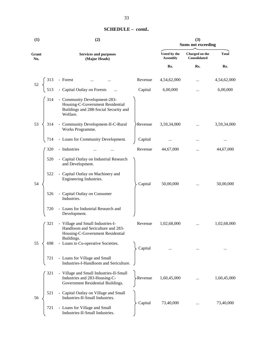| (1)          |     | (2)                                                                                                                      |          |                                 | (3)<br><b>Sums not exceeding</b> |              |
|--------------|-----|--------------------------------------------------------------------------------------------------------------------------|----------|---------------------------------|----------------------------------|--------------|
| Grant<br>No. |     | <b>Services and purposes</b><br>(Major Heads)                                                                            |          | Voted by the<br><b>Assembly</b> | Charged on the<br>Consolidated   | <b>Total</b> |
|              |     |                                                                                                                          |          | Rs.                             | Rs.                              | Rs.          |
| 52           | 313 | - Forest                                                                                                                 | Revenue  | 4,54,62,000                     |                                  | 4,54,62,000  |
|              | 513 | - Capital Outlay on Forests                                                                                              | Capital  | 6,00,000                        |                                  | 6,00,000     |
|              | 314 | - Community Development-283-<br>Housing-C-Government Residential<br>Buildings and 288-Social Security and<br>Welfare.    |          |                                 |                                  |              |
| 53           | 314 | - Community Development-II-C-Rural<br>Works Programme.                                                                   | Revenue  | 3,59,34,000                     |                                  | 3,59,34,000  |
|              | 714 | - Loans for Community Development.                                                                                       | Capital  |                                 |                                  | $\cdots$     |
|              | 320 | - Industries                                                                                                             | Revenue  | 44,67,000                       | $\ddotsc$                        | 44,67,000    |
|              | 520 | - Capital Outlay on Industrial Research<br>and Development.                                                              |          |                                 |                                  |              |
| 54           | 522 | - Capital Outlay on Machinery and<br>Engineering Industries.                                                             | Capital  | 50,00,000                       |                                  | 50,00,000    |
|              | 526 | - Capital Outlay on Consumer<br>Industries.                                                                              |          |                                 |                                  |              |
|              | 720 | - Loans for Industrial Research and<br>Development.                                                                      |          |                                 |                                  |              |
|              | 321 | - Village and Small Industries-I-<br>Handloom and Sericulture and 283-<br>Housing-C-Government Residential<br>Buildings. | Revenue  | 1,02,68,000                     | $\cdots$                         | 1,02,68,000  |
| 55           | 698 | - Loans to Co-operative Societies.                                                                                       | Capital  |                                 |                                  |              |
|              | 721 | - Loans for Village and Small<br>Industries-I-Handloom and Sericulture.                                                  |          |                                 |                                  |              |
|              | 321 | - Village and Small Industries-II-Small<br>Industries and 283-Housing-C-<br>Government Residential Buildings.            | -Revenue | 1,60,45,000                     |                                  | 1,60,45,000  |
| 56           | 521 | - Capital Outlay on Village and Small<br>Industries-II-Small Industries.                                                 | Capital  | 73,40,000                       |                                  | 73,40,000    |
|              | 721 | - Loans for Village and Small<br>Industries-II-Small Industries.                                                         |          |                                 |                                  |              |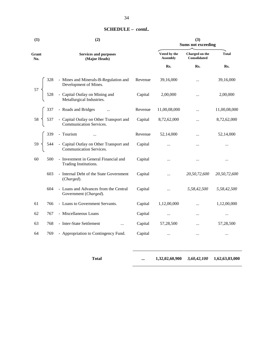| (1)          |      | (2)                                                                                           |         |                                 | (3)<br><b>Sums not exceeding</b> |              |
|--------------|------|-----------------------------------------------------------------------------------------------|---------|---------------------------------|----------------------------------|--------------|
| Grant<br>No. |      | <b>Services and purposes</b><br>(Major Heads)                                                 |         | Voted by the<br><b>Assembly</b> | Charged on the<br>Consolidated   | <b>Total</b> |
|              |      |                                                                                               |         | Rs.                             | Rs.                              | Rs.          |
|              | 328  | - Mines and Minerals-B-Regulation and                                                         | Revenue | 39,16,000                       |                                  | 39,16,000    |
| 57           |      | Development of Mines.<br>- Capital Outlay on Mining and<br>Metallurgical Industries.          | Capital | 2,00,000                        | $\cdots$                         | 2,00,000     |
|              |      |                                                                                               | Revenue | 11,00,08,000                    | $\cdots$                         | 11,00,08,000 |
|              | 537  | - Roads and Bridges<br>- Capital Outlay on Other Transport and<br>Communication Services.     | Capital | 8,72,62,000                     | $\cdots$                         | 8,72,62,000  |
|              |      |                                                                                               | Revenue | 52,14,000                       | $\cdots$                         | 52,14,000    |
|              |      | 339 - Tourism<br>544 - Capital Outlay on Other Transport and<br>621 - Communication Services. | Capital |                                 |                                  | $\ddotsc$    |
| 60           | 500  | - Investment in General Financial and<br>Trading Institutions.                                | Capital | $\cdots$                        | $\cdots$                         | $\cdots$     |
|              | 603  | - Internal Debt of the State Government<br>(Charged).                                         | Capital | $\ddotsc$                       | 20,50,72,600                     | 20,50,72,600 |
|              | 604  | - Loans and Advances from the Central<br>Government (Charged).                                | Capital | $\cdots$                        | 5,58,42,500                      | 5,58,42,500  |
| 61           | 766  | - Loans to Government Servants.                                                               | Capital | 1,12,00,000                     | $\ddotsc$                        | 1,12,00,000  |
| 62           | 767  | - Miscellaneous Loans                                                                         | Capital | $\cdots$                        | $\cdots$                         | $\cdots$     |
| 63           | 768  | - Inter-State Settlement<br>$\cdots$                                                          | Capital | 57,28,500                       |                                  | 57,28,500    |
| 64           | 769. | - Appropriation to Contingency Fund.                                                          | Capital | $\cdots$                        |                                  | $\cdots$     |

**Total ... 1,32,02,60,900** *3,60,42,100* **1,62,63,03,000**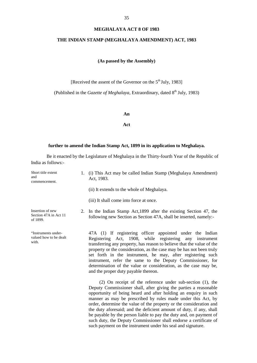#### **MEGHALAYA ACT 8 OF 1983**

#### **THE INDIAN STAMP (MEGHALAYA AMENDMENT) ACT, 1983**

#### **(As passed by the Assembly)**

[Received the assent of the Governor on the 5<sup>th</sup> July, 1983]

(Published in the *Gazette of Meghalaya*, Extraordinary, dated 8<sup>th</sup> July, 1983)

#### **An**

**Act**

#### **further to amend the Indian Stamp Act, 1899 in its application to Meghalaya.**

Be it enacted by the Legislature of Meghalaya in the Thirty-fourth Year of the Republic of India as follows:-

Short title extent and commencement. 1. (i) This Act may be called Indian Stamp (Meghalaya Amendment) Act, 1983. (ii) It extends to the whole of Meghalaya. (iii) It shall come into force at once. Insertion of new Section 47A in Act 11 of 1899. "Instruments under valued how to be dealt with. 2. In the Indian Stamp Act,1899 after the existing Section 47, the following new Section as Section 47A, shall be inserted, namely:- 47A (1) If registering officer appointed under the Indian Registering Act, 1908, while registering any instrument transferring any property, has reason to believe that the value of the property or the consideration, as the case may be has not been truly set forth in the instrument, he may, after registering such instrument, refer the same to the Deputy Commissioner, for determination of the value or consideration, as the case may be, and the proper duty payable thereon. (2) On receipt of the reference under sub-section (1), the Deputy Commissioner shall, after giving the parties a reasonable opportunity of being heard and after holding an enquiry in such manner as may be prescribed by rules made under this Act, by

order, determine the value of the property or the consideration and the duty aforesaid; and the deficient amount of duty, if any, shall be payable by the person liable to pay the duty and, on payment of such duty, the Deputy Commissioner shall endorse a certificate of such payment on the instrument under his seal and signature.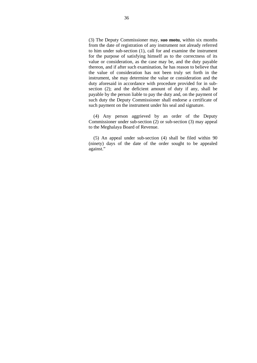(3) The Deputy Commissioner may, **suo motu**, within six months from the date of registration of any instrument not already referred to him under sub-section (1), call for and examine the instrument for the purpose of satisfying himself as to the correctness of its value or consideration, as the case may be, and the duty payable thereon, and if after such examination, he has reason to believe that the value of consideration has not been truly set forth in the instrument, she may determine the value or consideration and the duty aforesaid in accordance with procedure provided for in sub section (2); and the deficient amount of duty if any, shall be payable by the person liable to pay the duty and, on the payment of such duty the Deputy Commissioner shall endorse a certificate of such payment on the instrument under his seal and signature.

(4) Any person aggrieved by an order of the Deputy Commissioner under sub-section (2) or sub-section (3) may appeal to the Meghalaya Board of Revenue.

(5) An appeal under sub-section (4) shall be filed within 90 (ninety) days of the date of the order sought to be appealed against."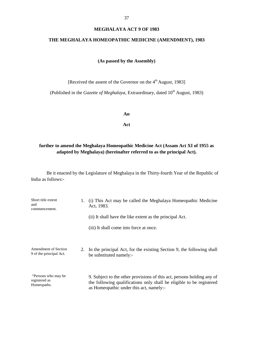#### **MEGHALAYA ACT 9 OF 1983**

## **THE MEGHALAYA HOMEOPATHIC MEDICINE (AMENDMENT), 1983**

## **(As passed by the Assembly)**

[Received the assent of the Governor on the 4<sup>th</sup> August, 1983]

(Published in the *Gazette of Meghalaya*, Extraordinary, dated 10<sup>th</sup> August, 1983)

#### **An**

**Act**

# **further to amend the Meghalaya Homeopathic Medicine Act (Assam Act XI of 1955 as adapted by Meghalaya) (hereinafter referred to as the principal Act).**

| Short title extent<br>and<br>commencement.             |    | (i) This Act may be called the Meghalaya Homeopathic Medicine<br>Act, 1983.                                                                                                               |  |
|--------------------------------------------------------|----|-------------------------------------------------------------------------------------------------------------------------------------------------------------------------------------------|--|
|                                                        |    | (ii) It shall have the like extent as the principal Act.                                                                                                                                  |  |
|                                                        |    | (iii) It shall come into force at once.                                                                                                                                                   |  |
| <b>Amendment of Section</b><br>9 of the principal Act. | 2. | In the principal Act, for the existing Section 9, the following shall<br>be substituted namely:-                                                                                          |  |
| "Persons who may be<br>registered as<br>Homeopaths.    |    | 9. Subject to the other provisions of this act, persons holding any of<br>the following qualifications only shall be eligible to be registered<br>as Homeopathic under this act, namely:- |  |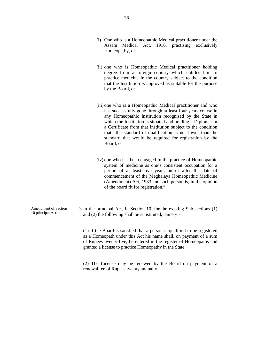- (i) One who is a Homeopathic Medical practitioner under the Assam Medical Act, 1916, practising exclusively Homeopathy, or
- (ii) one who is Homeopathic Medical practitioner holding degree from a foreign country which entitles him to practice medicine in the country subject to the condition that the Institution is approved as suitable for the purpose by the Board, or
- (iii) one who is a Homeopathic Medical practitioner and who has successfully gone through at least four years course in any Homeopathic Institution recognised by the State in which the Institution is situated and holding a Diplomat or a Certificate from that Institution subject to the condition that the standard of qualification is not lower than the standard that would be required for registration by the Board, or
- (iv) one who has been engaged in the practice of Homeopathic system of medicine as one's consistent occupation for a period of at least five years on or after the date of commencement of the Meghalaya Homeopathic Medicine (Amendment) Act, 1983 and such person is, in the opinion of the board fit for registration."

| 3. In the principal Act, in Section 10, for the existing Sub-sections (1) |  |
|---------------------------------------------------------------------------|--|
| and (2) the following shall be substituted, namely:-                      |  |

(1) If the Board is satisfied that a person is qualified to be registered as a Homeopath under this Act his name shall, on payment of a sum of Rupees twenty-five, be entered in the register of Homeopaths and granted a license to practice Homeopathy in the State.

(2) The License may be renewed by the Board on payment of a renewal fee of Rupees twenty annually.

Amendment of Section 10 principal Act.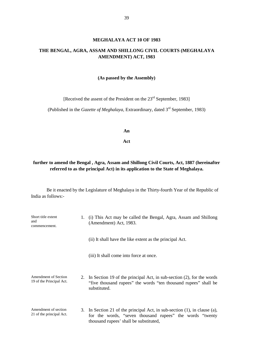#### **MEGHALAYA ACT 10 OF 1983**

# **THE BENGAL, AGRA, ASSAM AND SHILLONG CIVIL COURTS (MEGHALAYA AMENDMENT) ACT, 1983**

#### **(As passed by the Assembly)**

[Received the assent of the President on the 23<sup>rd</sup> September, 1983]

(Published in the *Gazette of Meghalaya*, Extraordinary, dated 3<sup>rd</sup> September, 1983)

**An**

**Act**

# **further to amend the Bengal , Agra, Assam and Shillong Civil Courts, Act, 1887 (hereinafter referred to as the principal Act) in its application to the State of Meghalaya.**

| Short title extent<br>and<br>commencement.              |  | (i) This Act may be called the Bengal, Agra, Assam and Shillong<br>(Amendment) Act, 1983.                                                                                       |  |
|---------------------------------------------------------|--|---------------------------------------------------------------------------------------------------------------------------------------------------------------------------------|--|
|                                                         |  | (ii) It shall have the like extent as the principal Act.                                                                                                                        |  |
|                                                         |  | (iii) It shall come into force at once.                                                                                                                                         |  |
| <b>Amendment of Section</b><br>19 of the Principal Act. |  | 2. In Section 19 of the principal Act, in sub-section (2), for the words<br>"five thousand rupees" the words "ten thousand rupees" shall be<br>substituted.                     |  |
| Amendment of section<br>21 of the principal Act.        |  | 3. In Section 21 of the principal Act, in sub-section (1), in clause (a),<br>for the words, "seven thousand rupees" the words "twenty<br>thousand rupees' shall be substituted, |  |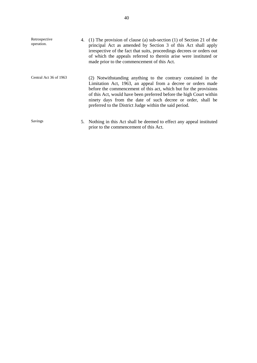| Retrospective<br>operation. | 4. | $(1)$ The provision of clause (a) sub-section (1) of Section 21 of the<br>principal Act as amended by Section 3 of this Act shall apply<br>irrespective of the fact that suits, proceedings decrees or orders out<br>of which the appeals referred to therein arise were instituted or<br>made prior to the commencement of this Act.                                                               |
|-----------------------------|----|-----------------------------------------------------------------------------------------------------------------------------------------------------------------------------------------------------------------------------------------------------------------------------------------------------------------------------------------------------------------------------------------------------|
| Central Act 36 of 1963      |    | (2) Notwithstanding anything to the contrary contained in the<br>Limitation Act, 1963, an appeal from a decree or orders made<br>before the commencement of this act, which but for the provisions<br>of this Act, would have been preferred before the high Court within<br>ninety days from the date of such decree or order, shall be<br>preferred to the District Judge within the said period. |
| Savings                     |    | 5. Nothing in this Act shall be deemed to effect any appeal instituted<br>prior to the commencement of this Act.                                                                                                                                                                                                                                                                                    |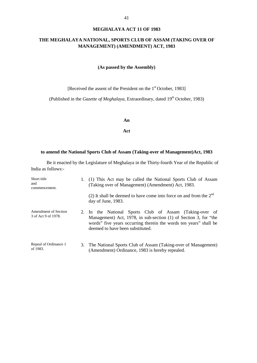## **THE MEGHALAYA NATIONAL, SPORTS CLUB OF ASSAM (TAKING OVER OF MANAGEMENT) (AMENDMENT) ACT, 1983**

#### **(As passed by the Assembly)**

[Received the assent of the President on the 1<sup>st</sup> October, 1983]

(Published in the *Gazette of Meghalaya*, Extraordinary, dated 19<sup>th</sup> October, 1983)

#### **An**

**Act**

## **to amend the National Sports Club of Assam (Taking-over of Management)Act, 1983**

| Short title<br>and<br>commencement.                |  | 1. (1) This Act may be called the National Sports Club of Assam<br>(Taking over of Management) (Amendment) Act, 1983.                                                                                                                |  |
|----------------------------------------------------|--|--------------------------------------------------------------------------------------------------------------------------------------------------------------------------------------------------------------------------------------|--|
|                                                    |  | (2) It shall be deemed to have come into force on and from the $2^{nd}$<br>day of June, 1983.                                                                                                                                        |  |
| <b>Amendment of Section</b><br>3 of Act 9 of 1978. |  | 2. In the National Sports Club of Assam (Taking-over of<br>Management) Act, 1978, in sub-section (1) of Section 3, for "the<br>words" five years occurring therein the words ten years" shall be<br>deemed to have been substituted. |  |
| Repeal of Ordinance 1<br>of 1983.                  |  | 3. The National Sports Club of Assam (Taking-over of Management)<br>(Amendment) Ordinance, 1983 is hereby repealed.                                                                                                                  |  |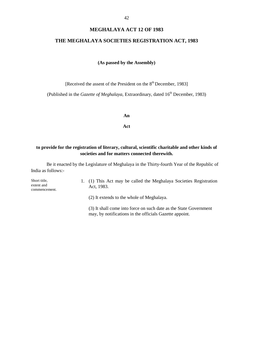## **MEGHALAYA ACT 12 OF 1983**

# **THE MEGHALAYA SOCIETIES REGISTRATION ACT, 1983**

#### **(As passed by the Assembly)**

[Received the assent of the President on the  $8<sup>th</sup>$  December, 1983]

(Published in the *Gazette of Meghalaya*, Extraordinary, dated 16<sup>th</sup> December, 1983)

#### **An**

**Act**

## **to provide for the registration of literary, cultural, scientific charitable and other kinds of societies and for matters connected therewith.**

Be it enacted by the Legislature of Meghalaya in the Thirty-fourth Year of the Republic of India as follows:-

| Short title,<br>extent and<br>commencement. | 1. (1) This Act may be called the Meghalaya Societies Registration<br>Act. 1983. |
|---------------------------------------------|----------------------------------------------------------------------------------|
|                                             | (2) It extends to the whole of Meghalaya.                                        |

(3) It shall come into force on such date as the State Government may, by notifications in the officials Gazette appoint.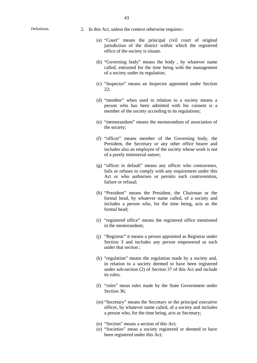- Definitions. 2. In this Act, unless the context otherwise requires:-
	- (a) "Court" means the principal civil court of original jurisdiction of the district within which the registered office of the society is situate.
	- (b) "Governing body" means the body , by whatever name called, entrusted for the time being with the management of a society under its regulation;
	- (c) "Inspector" means an Inspector appointed under Section 22;
	- (d) "member" when used in relation to a society means a person who has been admitted with his consent is a member of the society according to its regulations;
	- (e) "memorandum" means the memorandum of association of the society;
	- (f) "officer" means member of the Governing body, the President, the Secretary or any other office bearer and includes also an employee of the society whose work is not of a purely ministerial nature;
	- (g) "officer in default" means any officer who contravenes, fails or refuses to comply with any requirement under this Act or who authorises or permits such contravention, failure or refusal;
	- (h) "President" means the President, the Chairman or the formal head, by whatever name called, of a society and includes a person who, for the time being, acts as the formal head;
	- (i) "registered office" means the registered office mentioned in the memorandum;
	- (j) "Registrar" it means a person appointed as Registrar under Section 3 and includes any person empowered as such under that section ;
	- (k) "regulation" means the regulation made by a society and, in relation to a society deemed to have been registered under sub-section (2) of Section 37 of this Act and include its rules;
	- (l) "rules" mean rules made by the State Government under Section 36:
	- (m) "Secretary" means the Secretary or the principal executive officer, by whatever name called, of a society and includes a person who, for the time being, acts as Secretary;
	- (n) "Section" means a section of this Act;
	- (o) "Societies" mean a society registered or deemed to have been registered under this Act;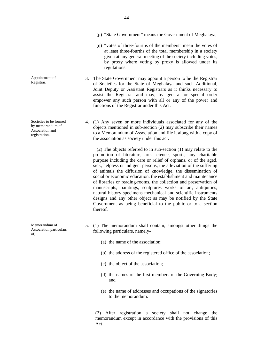Societies to be formed

Appointment of Registrar.

by memorandum of Association and registration.

Memorandum of Association particulars of,

- (p) "State Government" means the Government of Meghalaya;
- (q) "votes of three-fourths of the members" mean the votes of at least three-fourths of the total membership in a society given at any general meeting of the society including votes, by proxy where voting by proxy is allowed under its regulations.
- 3. The State Government may appoint a person to be the Registrar of Societies for the State of Meghalaya and such Additional, Joint Deputy or Assistant Registrars as it thinks necessary to assist the Registrar and may, by general or special order empower any such person with all or any of the power and functions of the Registrar under this Act.
- 4. (1) Any seven or more individuals associated for any of the objects mentioned in sub-section (2) may subscribe their names to a Memorandum of Association and file it along with a copy of the association as society under this act.

(2) The objects referred to in sub-section (1) may relate to the promotion of literature, arts science, sports, any charitable purpose including the care or relief of orphans, or of the aged, sick, helpless or indigent persons, the alleviation of the suffering of animals the diffusion of knowledge, the dissemination of social or economic education, the establishment and maintenance of libraries or reading-rooms, the collection and preservation of manuscripts, paintings, sculptures works of art, antiquities, natural history specimens mechanical and scientific instruments designs and any other object as may be notified by the State Government as being beneficial to the public or to a section thereof.

- 5. (1) The memorandum shall contain, amongst other things the following particulars, namely-
	- (a) the name of the association;
	- (b) the address of the registered office of the association;
	- (c) the object of the association;
	- (d) the names of the first members of the Governing Body; and
	- (e) the name of addresses and occupations of the signatories to the memorandum.

(2) After registration a society shall not change the memorandum except in accordance with the provisions of this Act.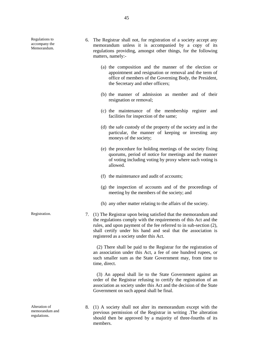Regulations to accompany the Memorandum.

- 6. The Registrar shall not, for registration of a society accept any memorandum unless it is accompanied by a copy of its regulations providing, amongst other things, for the following matters, namely:-
	- (a) the composition and the manner of the election or appointment and resignation or removal and the term of office of members of the Governing Body, the President, the Secretary and other officers;
	- (b) the manner of admission as member and of their resignation or removal;
	- (c) the maintenance of the membership register and facilities for inspection of the same;
	- (d) the safe custody of the property of the society and in the particular, the manner of keeping or investing any moneys of the society;
	- (e) the procedure for holding meetings of the society fixing quorums, period of notice for meetings and the manner of voting including voting by proxy where such voting is allowed.
	- (f) the maintenance and audit of accounts;
	- (g) the inspection of accounts and of the proceedings of meeting by the members of the society; and
	- (h) any other matter relating to the affairs of the society.
- Registration. 7. (1) The Registrar upon being satisfied that the memorandum and the regulations comply with the requirements of this Act and the rules, and upon payment of the fee referred to in sub-section (2), shall certify under his hand and seal that the association is registered as a society under this Act.

(2) There shall be paid to the Registrar for the registration of an association under this Act, a fee of one hundred rupees, or such smaller sum as the State Government may, from time to time, direct.

(3) An appeal shall lie to the State Government against an order of the Registrar refusing to certify the registration of an association as society under this Act and the decision of the State Government on such appeal shall be final.

8. (1) A society shall not alter its memorandum except with the previous permission of the Registrar in writing .The alteration should then be approved by a majority of three-fourths of its members.

Alteration of memorandum and regulations.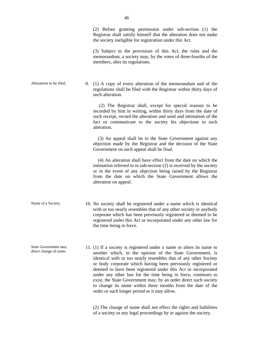the society ineligible for registration under this Act.

(3) Subject to the provisions of this Act, the rules and the memorandum, a society may, by the votes of three-fourths of the members, alter its regulations.

Alterations to be filed. 9. (1) A copy of every alteration of the memorandum and of the regulations shall be filed with the Registrar within thirty days of such alteration.

> (2) The Registrar shall, except for special reasons to be recorded by him in writing, within thirty days from the date of such receipt, record the alteration and send and intimation of the fact or communicate to the society his objections to such alteration.

> (3) An appeal shall lie to the State Government against any objection made by the Registrar and the decision of the State Government on such appeal shall be final.

> (4) An alteration shall have effect from the date on which the intimation referred to in sub-section (2) is received by the society or in the event of any objection being raised by the Registrar from the date on which the State Government allows the alteration on appeal.

- Name of a Society. 10. No society shall be registered under a name which is identical with or too nearly resembles that of any other society or anybody corporate which has been previously registered or deemed to be registered under this Act or incorporated under any other law for the time being in force.
	- 11. (1) If a society is registered under a name or alters its name to another which, in the opinion of the State Government, is identical with or too nearly resembles that of any other Society or body corporate which having been previously registered or deemed to have been registered under this Act or incorporated under any other law for the time being in force, continues to exist, the State Government may, by an order direct such society to change its name within three months from the date of the order or such longer period as it may allow.

State Government may direct change of name.

> (2) The change of name shall not effect the rights and liabilities of a society or any legal proceedings by or against the society.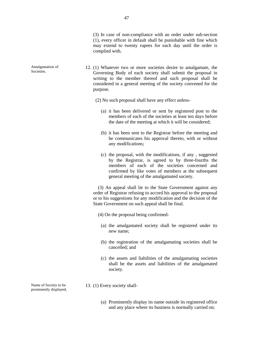- 12. (1) Whatever two or more societies desire to amalgamate, the Governing Body of each society shall submit the proposal in writing to the member thereof and such proposal shall be considered in a general meeting of the society convened for the purpose.
	- (2) No such proposal shall have any effect unless-
		- (a) it has been delivered or sent by registered post to the members of each of the societies at least ten days before the date of the meeting at which it will be considered;
		- (b) it has been sent to the Registrar before the meeting and he communicates his approval thereto, with or without any modifications;
		- (c) the proposal, with the modifications, if any , suggested by the Registrar, is agreed to by three-fourths the members of each of the societies concerned and confirmed by like votes of members at the subsequent general meeting of the amalgamated society.

(3) An appeal shall lie to the State Government against any order of Registrar refusing to accord his approval to the proposal or to his suggestions for any modification and the decision of the State Government on such appeal shall be final.

- (4) On the proposal being confirmed-
	- (a) the amalgamated society shall be registered under its new name;
	- (b) the registration of the amalgamating societies shall be cancelled; and
	- (c) the assets and liabilities of the amalgamating societies shall be the assets and liabilities of the amalgamated society.
- 13. (1) Every society shall-
	- (a) Prominently display its name outside its registered office and any place where its business is normally carried on;

Name of Society to be prominently displayed,

Amalgamation of Societies.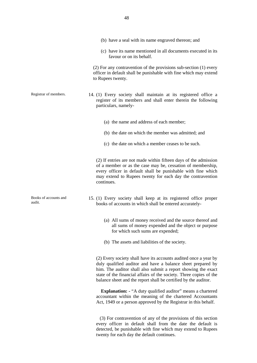- (b) have a seal with its name engraved thereon; and (c) have its name mentioned in all documents executed in its favour or on its behalf. (2) For any contravention of the provisions sub-section (1) every officer in default shall be punishable with fine which may extend to Rupees twenty. Registrar of members. 14. (1) Every society shall maintain at its registered office a register of its members and shall enter therein the following particulars, namely- (a) the name and address of each member; (b) the date on which the member was admitted; and (c) the date on which a member ceases to be such. (2) If entries are not made within fifteen days of the admission of a member or as the case may be, cessation of membership, every officer in default shall be punishable with fine which may extend to Rupees twenty for each day the contravention continues. Books of accounts and audit. 15. (1) Every society shall keep at its registered office proper books of accounts in which shall be entered accurately- (a) All sums of money received and the source thereof and all sums of money expended and the object or purpose for which such sums are expended;
	- (b) The assets and liabilities of the society.

(2) Every society shall have its accounts audited once a year by duly qualified auditor and have a balance sheet prepared by him. The auditor shall also submit a report showing the exact state of the financial affairs of the society. Three copies of the balance sheet and the report shall be certified by the auditor.

**Explanation: -** "A duty qualified auditor" means a chartered accountant within the meaning of the chartered Accountants Act, 1949 or a person approved by the Registrar in this behalf.

(3) For contravention of any of the provisions of this section every officer in default shall from the date the default is detected, be punishable with fine which may extend to Rupees twenty for each day the default continues.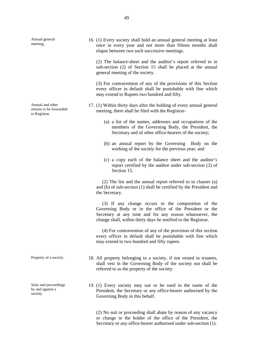Annual general meeting,

Annual and other returns to be forwarded to Registrar.

Suits and proceedings by and against a society.

16. (1) Every society shall hold an annual general meeting at least once in every year and not more than fifteen months shall elapse between two such successive meetings.

(2) The balance-sheet and the auditor's report referred to in sub-section (2) of Section 15 shall be placed at the annual general meeting of the society.

(3) For contravention of any of the provisions of this Section every officer in default shall be punishable with fine which may extend to Rupees two hundred and fifty.

- 17. (1) Within thirty days after the holding of every annual general meeting, there shall be filed with the Registrar-
	- (a) a list of the names, addresses and occupations of the members of the Governing Body, the President, the Secretary and of other office-bearers of the society;
	- (b) an annual report by the Governing Body on the working of the society for the previous year; and
	- (c) a copy each of the balance sheet and the auditor's report certified by the auditor under sub-section (2) of Section 15.

(2) The list and the annual report referred to in clauses (a) and (b) of sub-section (1) shall be certified by the President and the Secretary.

(3) If any change occurs in the composition of the Governing Body or in the office of the President or the Secretary at any time and for any reason whatsoever, the change shall, within thirty days be notified to the Registrar.

(4) For contravention of any of the provision of this section every officer in default shall be punishable with fine which may extend to two hundred and fifty rupees.

- Property of a society. 18. All property belonging to a society, if not vested in trustees, shall vest in the Governing Body of the society out shall be referred to as the property of the society.
	- 19. (1) Every society may sue or be sued in the name of the President, the Secretary or any office-bearer authorised by the Governing Body in this behalf.

(2) No suit or proceeding shall abate by reason of any vacancy or change in the holder of the office of the President, the Secretary or any office-bearer authorised under sub-section (1).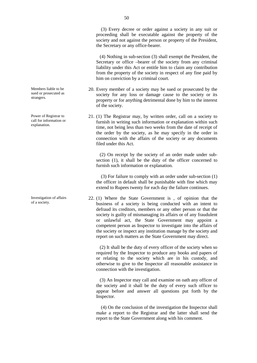(3) Every decree or order against a society in any suit or proceeding shall be executable against the property of the society and not against the person or property of the President, the Secretary or any office-bearer.

(4) Nothing in sub-section (3) shall exempt the President, the Secretary or office –bearer of the society from any criminal liability under this Act or entitle him to claim any contribution from the property of the society in respect of any fine paid by him on conviction by a criminal court.

- 20. Every member of a society may be sued or prosecuted by the society for any loss or damage cause to the society or its property or for anything detrimental done by him to the interest of the society.
- 21. (1) The Registrar may, by written order, call on a society to furnish in writing such information or explanation within such time, not being less than two weeks from the date of receipt of the order by the society, as he may specify in the order in connection with the affairs of the society or any documents filed under this Act.

(2) On receipt by the society of an order made under sub section (1), it shall be the duty of the officer concerned to furnish such information or explanation.

(3) For failure to comply with an order under sub-section (1) the officer in default shall be punishable with fine which may extend to Rupees twenty for each day the failure continues.

22. (1) Where the State Government is , of opinion that the business of a society is being conducted with an intent to defraud its creditors, members or any other person or that the society is guilty of mismanaging its affairs or of any fraudulent or unlawful act, the State Government may appoint a competent person as Inspector to investigate into the affairs of the society or inspect any institution manage by the society and report on such matters as the State Government may direct.

(2) It shall be the duty of every officer of the society when so required by the Inspector to produce any books and papers of or relating to the society which are in his custody, and otherwise to give to the Inspector all reasonable assistance in connection with the investigation.

(3) An Inspector may call and examine on oath any officer of the society and it shall be the duty of every such officer to appear before and answer all questions put forth by the Inspector.

(4) On the conclusion of the investigation the Inspector shall make a report to the Registrar and the latter shall send the report to the State Government along with his comment.

Members liable to be sued or prosecuted as strangers.

Power of Registrar to call for information or explanation.

Investigation of affairs of a society.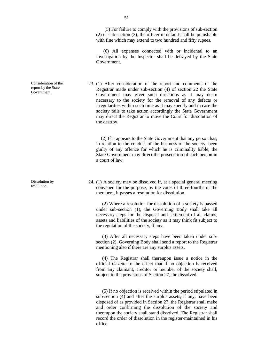51

(5) For failure to comply with the provisions of sub-section (2) or sub-section (3), the officer in default shall be punishable with fine which may extend to two hundred and fifty rupees.

(6) All expenses connected with or incidental to an investigation by the Inspector shall be defrayed by the State Government.

23. (1) After consideration of the report and comments of the Registrar made under sub-section (4) of section 22 the State Government may giver such directions as it may deem necessary to the society for the removal of any defects or irregularities within such time as it may specify and in case the society fails to take action accordingly the State Government may direct the Registrar to move the Court for dissolution of the destroy.

(2) If it appears to the State Government that any person has, in relation to the conduct of the business of the society, been guilty of any offence for which he is criminality liable, the State Government may direct the prosecution of such person in a court of law.

24. (1) A society may be dissolved if, at a special general meeting convened for the purpose, by the votes of three-fourths of the members, it passes a resolution for dissolution.

(2) Where a resolution for dissolution of a society is passed under sub-section (1), the Governing Body shall take all necessary steps for the disposal and settlement of all claims, assets and liabilities of the society as it may think fit subject to the regulation of the society, if any.

(3) After all necessary steps have been taken under sub section (2), Governing Body shall send a report to the Registrar mentioning also if there are any surplus assets.

(4) The Registrar shall thereupon issue a notice in the official Gazette to the effect that if no objection is received from any claimant, creditor or member of the society shall, subject to the provisions of Section 27, the dissolved.

(5) If no objection is received within the period stipulated in sub-section (4) and after the surplus assets, if any, have been disposed of as provided in Section 27, the Registrar shall make and order confirming the dissolution of the society and thereupon the society shall stand dissolved. The Registrar shall record the order of dissolution in the register-maintained in his office.

Consideration of the report by the State Government.

Dissolution by resolution.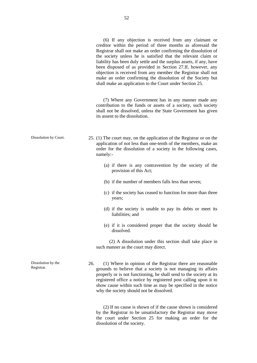(6) If any objection is received from any claimant or creditor within the period of three months as aforesaid the Registrar shall not make an order confirming the dissolution of the society unless he is satisfied that the relevant claim or liability has been duly settle and the surplus assets, if any, have been disposed of as provided in Section 27.If, however, any objection is received from any member the Registrar shall not make an order confirming the dissolution of the Society but shall make an application to the Court under Section 25.

(7) Where any Government has in any manner made any contribution to the funds or assets of a society, such society shall not be dissolved, unless the State Government has given its assent to the dissolution.

- Dissolution by Court. 25. (1) The court may, on the application of the Registrar or on the application of not less than one-tenth of the members, make an order for the dissolution of a society in the following cases, namely:-
	- (a) if there is any contravention by the society of the provision of this Act;
	- (b) if the number of members falls less than seven;
	- (c) if the society has ceased to function for more than three years;
	- (d) if the society is unable to pay its debts or meet its liabilities; and
	- (e) if it is considered proper that the society should be dissolved.

(2) A dissolution under this section shall take place in such manner as the court may direct.

26. (1) Where in opinion of the Registrar there are reasonable grounds to believe that a society is not managing its affairs properly or is not functioning, he shall send to the society at its registered office a notice by registered post calling upon it to show cause within such time as may be specified in the notice why the society should not be dissolved.

(2) If no cause is shown of if the cause shown is considered by the Registrar to be unsatisfactory the Registrar may move the court under Section 25 for making an order for the dissolution of the society.

Dissolution by the Registrar.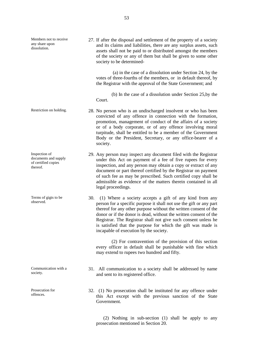Members not to receive any share upon dissolution. 27. If after the disposal and settlement of the property of a society and its claims and liabilities, there are any surplus assets, such assets shall not be paid to or distributed amongst the members of the society or any of them but shall be given to some other society to be determined- (a) in the case of a dissolution under Section 24, by the votes of three-fourths of the members, or in default thereof, by the Registrar with the approval of the State Government; and (b) In the case of a dissolution under Section 25,by the Court. Restriction on holding. 28. No person who is an undischarged insolvent or who has been convicted of any offence in connection with the formation, promotion, management of conduct of the affairs of a society or of a body corporate, or of any offence involving moral turpitude, shall be entitled to be a member of the Government Body or the President, Secretary, or any office-bearer of a society. Inspection of documents and supply of certified copies thereof. 29. Any person may inspect any document filed with the Registrar under this Act on payment of a fee of five rupees for every inspection, and any person may obtain a copy or extract of any document or part thereof certified by the Registrar on payment of such fee as may be prescribed. Such certified copy shall be admissible as evidence of the matters therein contained in all legal proceedings. Terms of gigts to be observed. 30. (1) Where a society accepts a gift of any kind from any person for a specific purpose it shall not use the gift or any part thereof for any other purpose without the written consent of the donor or if the donor is dead, without the written consent of the Registrar. The Registrar shall not give such consent unless he is satisfied that the purpose for which the gift was made is incapable of execution by the society. (2) For contravention of the provision of this section every officer in default shall be punishable with fine which may extend to rupees two hundred and fifty. Communication with a society. 31. All communication to a society shall be addressed by name and sent to its registered office. Prosecution for offences. 32. (1) No prosecution shall be instituted for any offence under this Act except with the previous sanction of the State Government.

(2) Nothing in sub-section (1) shall be apply to any prosecution mentioned in Section 20.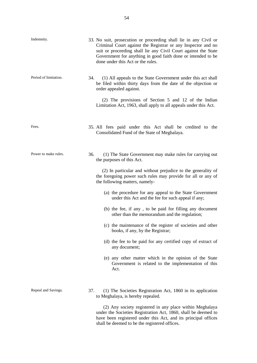| Indemnity.            | 33. No suit, prosecution or proceeding shall lie in any Civil or<br>Criminal Court against the Registrar or any Inspector and no<br>suit or proceeding shall lie any Civil Court against the State<br>Government for anything in good faith done or intended to be<br>done under this Act or the rules.                                                                                                                                                                                                                                                                                                                                                                                                                                                                                                  |
|-----------------------|----------------------------------------------------------------------------------------------------------------------------------------------------------------------------------------------------------------------------------------------------------------------------------------------------------------------------------------------------------------------------------------------------------------------------------------------------------------------------------------------------------------------------------------------------------------------------------------------------------------------------------------------------------------------------------------------------------------------------------------------------------------------------------------------------------|
| Period of limitation. | 34.<br>(1) All appeals to the State Government under this act shall<br>be filed within thirty days from the date of the objection or<br>order appealed against.<br>(2) The provisions of Section 5 and 12 of the Indian<br>Limitation Act, 1963, shall apply to all appeals under this Act.                                                                                                                                                                                                                                                                                                                                                                                                                                                                                                              |
| Fees.                 | 35. All fees paid under this Act shall be credited to the<br>Consolidated Fund of the State of Meghalaya.                                                                                                                                                                                                                                                                                                                                                                                                                                                                                                                                                                                                                                                                                                |
| Power to make rules.  | 36.<br>(1) The State Government may make rules for carrying out<br>the purposes of this Act.<br>(2) In particular and without prejudice to the generality of<br>the foregoing power such rules may provide for all or any of<br>the following matters, namely-<br>(a) the procedure for any appeal to the State Government<br>under this Act and the fee for such appeal if any;<br>(b) the fee, if any, to be paid for filling any document<br>other than the memorandum and the regulation;<br>(c) the maintenance of the register of societies and other<br>books, if any, by the Registrar;<br>(d) the fee to be paid for any certified copy of extract of<br>any document;<br>(e) any other matter which in the opinion of the State<br>Government is related to the implementation of this<br>Act. |
| Repeal and Savings.   | 37.<br>(1) The Societies Registration Act, 1860 in its application<br>to Meghalaya, is hereby repealed.<br>(2) Any society registered in any place within Meghalaya                                                                                                                                                                                                                                                                                                                                                                                                                                                                                                                                                                                                                                      |

under the Societies Registration Act, 1860, shall be deemed to have been registered under this Act, and its principal offices shall be deemed to be the registered offices.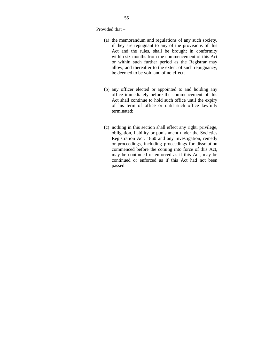Provided that –

- (a) the memorandum and regulations of any such society, if they are repugnant to any of the provisions of this Act and the rules, shall be brought in conformity within six months from the commencement of this Act or within such further period as the Registrar may allow, and thereafter to the extent of such repugnancy, be deemed to be void and of no effect;
- (b) any officer elected or appointed to and holding any office immediately before the commencement of this Act shall continue to hold such office until the expiry of his term of office or until such office lawfully terminated;
- (c) nothing in this section shall effect any right, privilege, obligation, liability or punishment under the Societies Registration Act, 1860 and any investigation, remedy or proceedings, including proceedings for dissolution commenced before the coming into force of this Act, may be continued or enforced as if this Act, may be continued or enforced as if this Act had not been passed.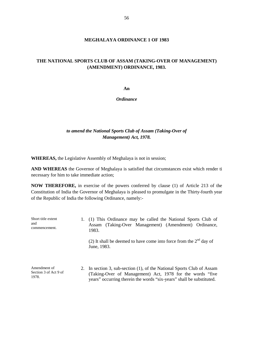#### **MEGHALAYA ORDINANCE 1 OF 1983**

## **THE NATIONAL SPORTS CLUB OF ASSAM (TAKING-OVER OF MANAGEMENT) (AMENDMENT) ORDINANCE, 1983.**

**An**

*Ordinance*

## *to amend the National Sports Club of Assam (Taking-Over of Management) Act, 1978.*

**WHEREAS,** the Legislative Assembly of Meghalaya is not in session;

**AND WHEREAS** the Governor of Meghalaya is satisfied that circumstances exist which render ti necessary for him to take immediate action;

**NOW THEREFORE,** in exercise of the powers conferred by clause (1) of Article 213 of the Constitution of India the Governor of Meghalaya is pleased to promulgate in the Thirty-fourth year of the Republic of India the following Ordinance, namely:-

| Short title extent<br>and<br>commencement.     |  | (1) This Ordinance may be called the National Sports Club of<br>(Taking-Over Management) (Amendment) Ordinance,<br>Assam<br>1983.                                                                            |  |
|------------------------------------------------|--|--------------------------------------------------------------------------------------------------------------------------------------------------------------------------------------------------------------|--|
|                                                |  | (2) It shall be deemed to have come into force from the $2nd$ day of<br>June, 1983.                                                                                                                          |  |
| Amendment of<br>Section 3 of Act 9 of<br>1978. |  | 2. In section 3, sub-section (1), of the National Sports Club of Assam<br>(Taking-Over of Management) Act, 1978 for the words "five"<br>years" occurring therein the words "six-years" shall be substituted. |  |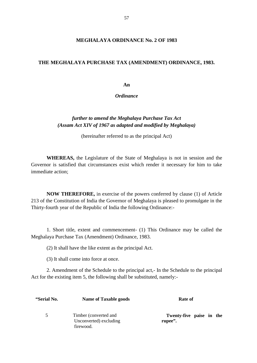#### **THE MEGHALAYA PURCHASE TAX (AMENDMENT) ORDINANCE, 1983.**

**An**

*Ordinance*

# *further to amend the Meghalaya Purchase Tax Act (Assam Act XIV of 1967 as adapted and modified by Meghalaya)*

(hereinafter referred to as the principal Act)

**WHEREAS,** the Legislature of the State of Meghalaya is not in session and the Governor is satisfied that circumstances exist which render it necessary for him to take immediate action;

**NOW THEREFORE,** in exercise of the powers conferred by clause (1) of Article 213 of the Constitution of India the Governor of Meghalaya is pleased to promulgate in the Thirty-fourth year of the Republic of India the following Ordinance:-

1. Short title, extent and commencement- (1) This Ordinance may be called the Meghalaya Purchase Tax (Amendment) Ordinance, 1983.

(2) It shall have the like extent as the principal Act.

(3) It shall come into force at once.

2. Amendment of the Schedule to the principal act,- In the Schedule to the principal Act for the existing item 5, the following shall be substituted, namely:-

| "Serial No.   | <b>Name of Taxable goods</b>                                  | Rate of                             |
|---------------|---------------------------------------------------------------|-------------------------------------|
| $\mathcal{F}$ | Timber (converted and)<br>Unconverted) excluding<br>firewood. | Twenty-five paise in the<br>rupee". |